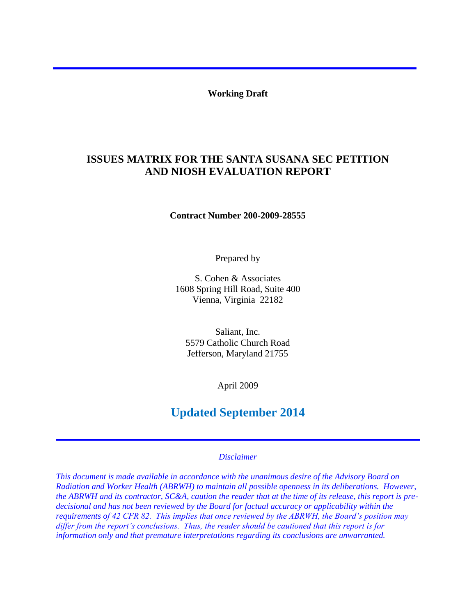**Working Draft** 

# **ISSUES MATRIX FOR THE SANTA SUSANA SEC PETITION AND NIOSH EVALUATION REPORT**

**Contract Number 200-2009-28555**

Prepared by

S. Cohen & Associates 1608 Spring Hill Road, Suite 400 Vienna, Virginia 22182

Saliant, Inc. 5579 Catholic Church Road Jefferson, Maryland 21755

April 2009

# **Updated September 2014**

# *Disclaimer*

*This document is made available in accordance with the unanimous desire of the Advisory Board on Radiation and Worker Health (ABRWH) to maintain all possible openness in its deliberations. However, the ABRWH and its contractor, SC&A, caution the reader that at the time of its release, this report is predecisional and has not been reviewed by the Board for factual accuracy or applicability within the requirements of 42 CFR 82. This implies that once reviewed by the ABRWH, the Board's position may differ from the report's conclusions. Thus, the reader should be cautioned that this report is for information only and that premature interpretations regarding its conclusions are unwarranted.*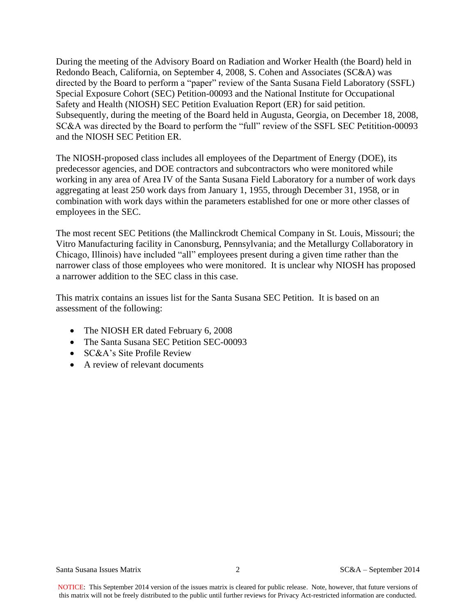During the meeting of the Advisory Board on Radiation and Worker Health (the Board) held in Redondo Beach, California, on September 4, 2008, S. Cohen and Associates (SC&A) was directed by the Board to perform a "paper" review of the Santa Susana Field Laboratory (SSFL) Special Exposure Cohort (SEC) Petition-00093 and the National Institute for Occupational Safety and Health (NIOSH) SEC Petition Evaluation Report (ER) for said petition. Subsequently, during the meeting of the Board held in Augusta, Georgia, on December 18, 2008, SC&A was directed by the Board to perform the "full" review of the SSFL SEC Petitition-00093 and the NIOSH SEC Petition ER.

The NIOSH-proposed class includes all employees of the Department of Energy (DOE), its predecessor agencies, and DOE contractors and subcontractors who were monitored while working in any area of Area IV of the Santa Susana Field Laboratory for a number of work days aggregating at least 250 work days from January 1, 1955, through December 31, 1958, or in combination with work days within the parameters established for one or more other classes of employees in the SEC.

The most recent SEC Petitions (the Mallinckrodt Chemical Company in St. Louis, Missouri; the Vitro Manufacturing facility in Canonsburg, Pennsylvania; and the Metallurgy Collaboratory in Chicago, Illinois) have included "all" employees present during a given time rather than the narrower class of those employees who were monitored. It is unclear why NIOSH has proposed a narrower addition to the SEC class in this case.

This matrix contains an issues list for the Santa Susana SEC Petition. It is based on an assessment of the following:

- The NIOSH ER dated February 6, 2008
- The Santa Susana SEC Petition SEC-00093
- SC&A's Site Profile Review
- A review of relevant documents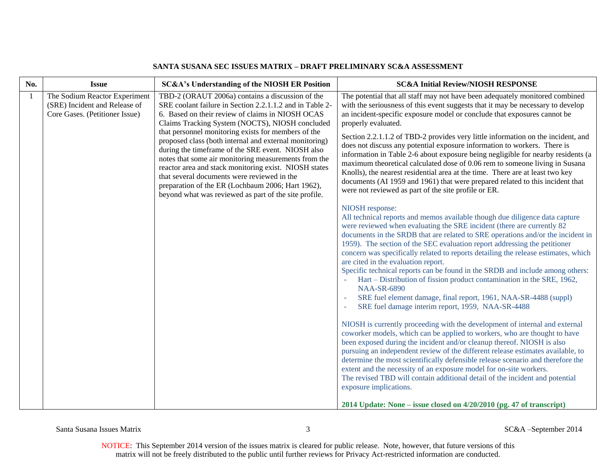| No. | <b>Issue</b>                                                                                     | SC&A's Understanding of the NIOSH ER Position                                                                                                                                                                                                                                                                                                                                                                                                                                                                                                                                                                                                                           | <b>SC&amp;A Initial Review/NIOSH RESPONSE</b>                                                                                                                                                                                                                                                                                                                                                                                                                                                                                                                                                                                                                                                                                                                                                                                                                                                                                                                                                                                                                                                                                                                                                                                                                                                                                                                                                                                                                                                                                                                                                                                                                                                                                                                                                                                                                                                                                                                                                                                                                                                                                                                                                                                                                                            |
|-----|--------------------------------------------------------------------------------------------------|-------------------------------------------------------------------------------------------------------------------------------------------------------------------------------------------------------------------------------------------------------------------------------------------------------------------------------------------------------------------------------------------------------------------------------------------------------------------------------------------------------------------------------------------------------------------------------------------------------------------------------------------------------------------------|------------------------------------------------------------------------------------------------------------------------------------------------------------------------------------------------------------------------------------------------------------------------------------------------------------------------------------------------------------------------------------------------------------------------------------------------------------------------------------------------------------------------------------------------------------------------------------------------------------------------------------------------------------------------------------------------------------------------------------------------------------------------------------------------------------------------------------------------------------------------------------------------------------------------------------------------------------------------------------------------------------------------------------------------------------------------------------------------------------------------------------------------------------------------------------------------------------------------------------------------------------------------------------------------------------------------------------------------------------------------------------------------------------------------------------------------------------------------------------------------------------------------------------------------------------------------------------------------------------------------------------------------------------------------------------------------------------------------------------------------------------------------------------------------------------------------------------------------------------------------------------------------------------------------------------------------------------------------------------------------------------------------------------------------------------------------------------------------------------------------------------------------------------------------------------------------------------------------------------------------------------------------------------------|
| -1  | The Sodium Reactor Experiment<br>(SRE) Incident and Release of<br>Core Gases. (Petitioner Issue) | TBD-2 (ORAUT 2006a) contains a discussion of the<br>SRE coolant failure in Section 2.2.1.1.2 and in Table 2-<br>6. Based on their review of claims in NIOSH OCAS<br>Claims Tracking System (NOCTS), NIOSH concluded<br>that personnel monitoring exists for members of the<br>proposed class (both internal and external monitoring)<br>during the timeframe of the SRE event. NIOSH also<br>notes that some air monitoring measurements from the<br>reactor area and stack monitoring exist. NIOSH states<br>that several documents were reviewed in the<br>preparation of the ER (Lochbaum 2006; Hart 1962),<br>beyond what was reviewed as part of the site profile. | The potential that all staff may not have been adequately monitored combined<br>with the seriousness of this event suggests that it may be necessary to develop<br>an incident-specific exposure model or conclude that exposures cannot be<br>properly evaluated.<br>Section 2.2.1.1.2 of TBD-2 provides very little information on the incident, and<br>does not discuss any potential exposure information to workers. There is<br>information in Table 2-6 about exposure being negligible for nearby residents (a<br>maximum theoretical calculated dose of 0.06 rem to someone living in Susana<br>Knolls), the nearest residential area at the time. There are at least two key<br>documents (AI 1959 and 1961) that were prepared related to this incident that<br>were not reviewed as part of the site profile or ER.<br>NIOSH response:<br>All technical reports and memos available though due diligence data capture<br>were reviewed when evaluating the SRE incident (there are currently 82<br>documents in the SRDB that are related to SRE operations and/or the incident in<br>1959). The section of the SEC evaluation report addressing the petitioner<br>concern was specifically related to reports detailing the release estimates, which<br>are cited in the evaluation report.<br>Specific technical reports can be found in the SRDB and include among others:<br>Hart – Distribution of fission product contamination in the SRE, 1962,<br><b>NAA-SR-6890</b><br>SRE fuel element damage, final report, 1961, NAA-SR-4488 (suppl)<br>SRE fuel damage interim report, 1959, NAA-SR-4488<br>NIOSH is currently proceeding with the development of internal and external<br>coworker models, which can be applied to workers, who are thought to have<br>been exposed during the incident and/or cleanup thereof. NIOSH is also<br>pursuing an independent review of the different release estimates available, to<br>determine the most scientifically defensible release scenario and therefore the<br>extent and the necessity of an exposure model for on-site workers.<br>The revised TBD will contain additional detail of the incident and potential<br>exposure implications.<br>2014 Update: None – issue closed on $4/20/2010$ (pg. 47 of transcript) |

Santa Susana Issues Matrix 3 SC&A –September 2014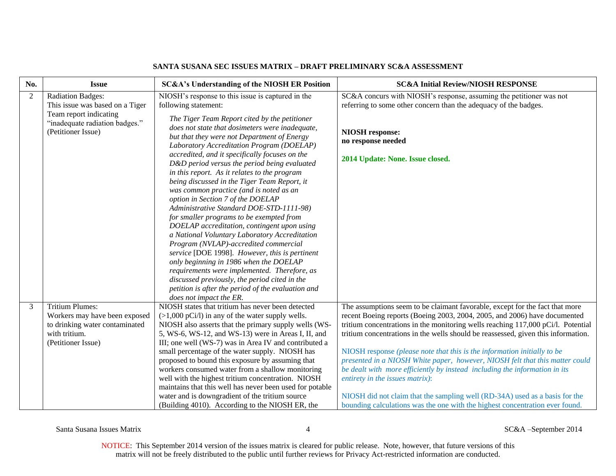| No.            | <b>Issue</b>                                            | <b>SC&amp;A's Understanding of the NIOSH ER Position</b>                                                        | <b>SC&amp;A Initial Review/NIOSH RESPONSE</b>                                                                                                             |
|----------------|---------------------------------------------------------|-----------------------------------------------------------------------------------------------------------------|-----------------------------------------------------------------------------------------------------------------------------------------------------------|
| $\overline{2}$ | <b>Radiation Badges:</b>                                | NIOSH's response to this issue is captured in the                                                               | SC&A concurs with NIOSH's response, assuming the petitioner was not                                                                                       |
|                | This issue was based on a Tiger                         | following statement:                                                                                            | referring to some other concern than the adequacy of the badges.                                                                                          |
|                | Team report indicating                                  | The Tiger Team Report cited by the petitioner                                                                   |                                                                                                                                                           |
|                | "inadequate radiation badges."                          | does not state that dosimeters were inadequate,                                                                 |                                                                                                                                                           |
|                | (Petitioner Issue)                                      | but that they were not Department of Energy                                                                     | <b>NIOSH</b> response:                                                                                                                                    |
|                |                                                         | Laboratory Accreditation Program (DOELAP)                                                                       | no response needed                                                                                                                                        |
|                |                                                         | accredited, and it specifically focuses on the                                                                  | 2014 Update: None. Issue closed.                                                                                                                          |
|                |                                                         | D&D period versus the period being evaluated                                                                    |                                                                                                                                                           |
|                |                                                         | in this report. As it relates to the program                                                                    |                                                                                                                                                           |
|                |                                                         | being discussed in the Tiger Team Report, it                                                                    |                                                                                                                                                           |
|                |                                                         | was common practice (and is noted as an                                                                         |                                                                                                                                                           |
|                |                                                         | option in Section 7 of the DOELAP<br>Administrative Standard DOE-STD-1111-98)                                   |                                                                                                                                                           |
|                |                                                         | for smaller programs to be exempted from                                                                        |                                                                                                                                                           |
|                |                                                         | DOELAP accreditation, contingent upon using                                                                     |                                                                                                                                                           |
|                |                                                         | a National Voluntary Laboratory Accreditation                                                                   |                                                                                                                                                           |
|                |                                                         | Program (NVLAP)-accredited commercial                                                                           |                                                                                                                                                           |
|                |                                                         | service [DOE 1998]. However, this is pertinent                                                                  |                                                                                                                                                           |
|                |                                                         | only beginning in 1986 when the DOELAP                                                                          |                                                                                                                                                           |
|                |                                                         | requirements were implemented. Therefore, as                                                                    |                                                                                                                                                           |
|                |                                                         | discussed previously, the period cited in the                                                                   |                                                                                                                                                           |
|                |                                                         | petition is after the period of the evaluation and                                                              |                                                                                                                                                           |
|                |                                                         | does not impact the ER.                                                                                         |                                                                                                                                                           |
| 3              | <b>Tritium Plumes:</b><br>Workers may have been exposed | NIOSH states that tritium has never been detected<br>$(>1,000 \text{ pCi/l})$ in any of the water supply wells. | The assumptions seem to be claimant favorable, except for the fact that more<br>recent Boeing reports (Boeing 2003, 2004, 2005, and 2006) have documented |
|                | to drinking water contaminated                          | NIOSH also asserts that the primary supply wells (WS-                                                           | tritium concentrations in the monitoring wells reaching 117,000 pCi/l. Potential                                                                          |
|                | with tritium.                                           | 5, WS-6, WS-12, and WS-13) were in Areas I, II, and                                                             | tritium concentrations in the wells should be reassessed, given this information.                                                                         |
|                | (Petitioner Issue)                                      | III; one well (WS-7) was in Area IV and contributed a                                                           |                                                                                                                                                           |
|                |                                                         | small percentage of the water supply. NIOSH has                                                                 | NIOSH response (please note that this is the information initially to be                                                                                  |
|                |                                                         | proposed to bound this exposure by assuming that                                                                | presented in a NIOSH White paper, however, NIOSH felt that this matter could                                                                              |
|                |                                                         | workers consumed water from a shallow monitoring                                                                | be dealt with more efficiently by instead including the information in its                                                                                |
|                |                                                         | well with the highest tritium concentration. NIOSH                                                              | entirety in the issues matrix):                                                                                                                           |
|                |                                                         | maintains that this well has never been used for potable                                                        |                                                                                                                                                           |
|                |                                                         | water and is downgradient of the tritium source                                                                 | NIOSH did not claim that the sampling well (RD-34A) used as a basis for the                                                                               |
|                |                                                         | (Building 4010). According to the NIOSH ER, the                                                                 | bounding calculations was the one with the highest concentration ever found.                                                                              |

Santa Susana Issues Matrix **All and Susana Issues Matrix** 4 SC&A –September 2014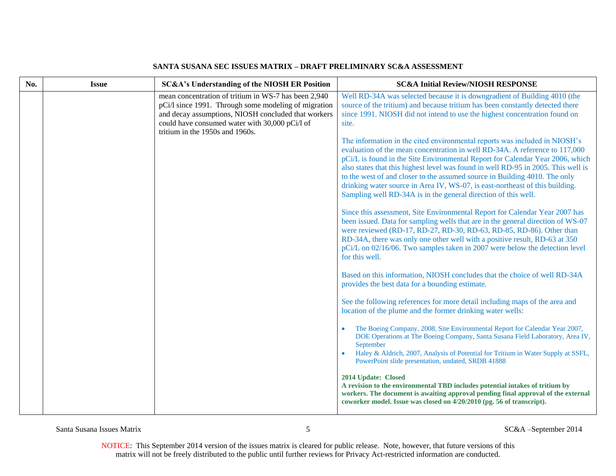| No. | <b>Issue</b> | <b>SC&amp;A's Understanding of the NIOSH ER Position</b>                                                                                                                                                                                                 | <b>SC&amp;A Initial Review/NIOSH RESPONSE</b>                                                                                                                                                                                                                                                                                                                                                                                                                                                                                                                   |
|-----|--------------|----------------------------------------------------------------------------------------------------------------------------------------------------------------------------------------------------------------------------------------------------------|-----------------------------------------------------------------------------------------------------------------------------------------------------------------------------------------------------------------------------------------------------------------------------------------------------------------------------------------------------------------------------------------------------------------------------------------------------------------------------------------------------------------------------------------------------------------|
|     |              | mean concentration of tritium in WS-7 has been 2,940<br>pCi/l since 1991. Through some modeling of migration<br>and decay assumptions, NIOSH concluded that workers<br>could have consumed water with 30,000 pCi/l of<br>tritium in the 1950s and 1960s. | Well RD-34A was selected because it is downgradient of Building 4010 (the<br>source of the tritium) and because tritium has been constantly detected there<br>since 1991. NIOSH did not intend to use the highest concentration found on<br>site.                                                                                                                                                                                                                                                                                                               |
|     |              |                                                                                                                                                                                                                                                          | The information in the cited environmental reports was included in NIOSH's<br>evaluation of the mean concentration in well RD-34A. A reference to 117,000<br>pCi/L is found in the Site Environmental Report for Calendar Year 2006, which<br>also states that this highest level was found in well RD-95 in 2005. This well is<br>to the west of and closer to the assumed source in Building 4010. The only<br>drinking water source in Area IV, WS-07, is east-northeast of this building.<br>Sampling well RD-34A is in the general direction of this well. |
|     |              |                                                                                                                                                                                                                                                          | Since this assessment, Site Environmental Report for Calendar Year 2007 has<br>been issued. Data for sampling wells that are in the general direction of WS-07<br>were reviewed (RD-17, RD-27, RD-30, RD-63, RD-85, RD-86). Other than<br>RD-34A, there was only one other well with a positive result, RD-63 at 350<br>pCi/L on 02/16/06. Two samples taken in 2007 were below the detection level<br>for this well.                                                                                                                                           |
|     |              |                                                                                                                                                                                                                                                          | Based on this information, NIOSH concludes that the choice of well RD-34A<br>provides the best data for a bounding estimate.                                                                                                                                                                                                                                                                                                                                                                                                                                    |
|     |              |                                                                                                                                                                                                                                                          | See the following references for more detail including maps of the area and<br>location of the plume and the former drinking water wells:                                                                                                                                                                                                                                                                                                                                                                                                                       |
|     |              |                                                                                                                                                                                                                                                          | The Boeing Company, 2008, Site Environmental Report for Calendar Year 2007,<br>DOE Operations at The Boeing Company, Santa Susana Field Laboratory, Area IV,<br>September<br>Haley & Aldrich, 2007, Analysis of Potential for Tritium in Water Supply at SSFL,                                                                                                                                                                                                                                                                                                  |
|     |              |                                                                                                                                                                                                                                                          | PowerPoint slide presentation, undated, SRDB 41888<br>2014 Update: Closed<br>A revision to the environmental TBD includes potential intakes of tritium by<br>workers. The document is awaiting approval pending final approval of the external<br>coworker model. Issue was closed on 4/20/2010 (pg. 56 of transcript).                                                                                                                                                                                                                                         |

Santa Susana Issues Matrix 5 SC&A –September 2014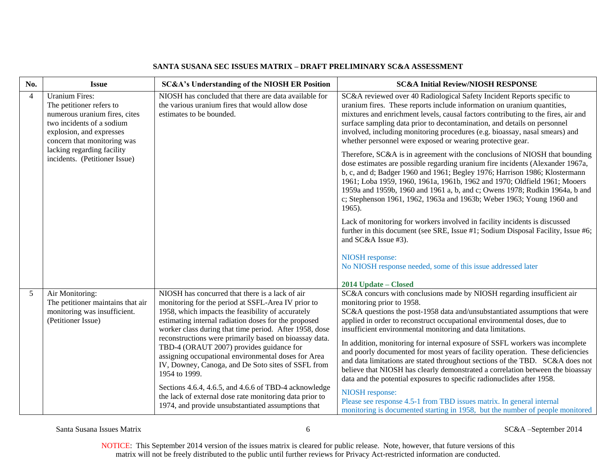| No.                      | <b>Issue</b>                                                                                                                                                               | SC&A's Understanding of the NIOSH ER Position                                                                                                                                                                                    | <b>SC&amp;A Initial Review/NIOSH RESPONSE</b>                                                                                                                                                                                                                                                                                                                                                                                                                                              |
|--------------------------|----------------------------------------------------------------------------------------------------------------------------------------------------------------------------|----------------------------------------------------------------------------------------------------------------------------------------------------------------------------------------------------------------------------------|--------------------------------------------------------------------------------------------------------------------------------------------------------------------------------------------------------------------------------------------------------------------------------------------------------------------------------------------------------------------------------------------------------------------------------------------------------------------------------------------|
| $\overline{\mathcal{A}}$ | <b>Uranium Fires:</b><br>The petitioner refers to<br>numerous uranium fires, cites<br>two incidents of a sodium<br>explosion, and expresses<br>concern that monitoring was | NIOSH has concluded that there are data available for<br>the various uranium fires that would allow dose<br>estimates to be bounded.                                                                                             | SC&A reviewed over 40 Radiological Safety Incident Reports specific to<br>uranium fires. These reports include information on uranium quantities,<br>mixtures and enrichment levels, causal factors contributing to the fires, air and<br>surface sampling data prior to decontamination, and details on personnel<br>involved, including monitoring procedures (e.g. bioassay, nasal smears) and<br>whether personnel were exposed or wearing protective gear.                            |
|                          | lacking regarding facility<br>incidents. (Petitioner Issue)                                                                                                                |                                                                                                                                                                                                                                  | Therefore, SC&A is in agreement with the conclusions of NIOSH that bounding<br>dose estimates are possible regarding uranium fire incidents (Alexander 1967a,<br>b, c, and d; Badger 1960 and 1961; Begley 1976; Harrison 1986; Klostermann<br>1961; Loba 1959, 1960, 1961a, 1961b, 1962 and 1970; Oldfield 1961; Mooers<br>1959a and 1959b, 1960 and 1961 a, b, and c; Owens 1978; Rudkin 1964a, b and<br>c; Stephenson 1961, 1962, 1963a and 1963b; Weber 1963; Young 1960 and<br>1965). |
|                          |                                                                                                                                                                            |                                                                                                                                                                                                                                  | Lack of monitoring for workers involved in facility incidents is discussed<br>further in this document (see SRE, Issue #1; Sodium Disposal Facility, Issue #6;<br>and SC&A Issue #3).                                                                                                                                                                                                                                                                                                      |
|                          |                                                                                                                                                                            |                                                                                                                                                                                                                                  | NIOSH response:<br>No NIOSH response needed, some of this issue addressed later<br>2014 Update - Closed                                                                                                                                                                                                                                                                                                                                                                                    |
| 5                        | Air Monitoring:                                                                                                                                                            | NIOSH has concurred that there is a lack of air                                                                                                                                                                                  | SC&A concurs with conclusions made by NIOSH regarding insufficient air                                                                                                                                                                                                                                                                                                                                                                                                                     |
|                          | The petitioner maintains that air<br>monitoring was insufficient.<br>(Petitioner Issue)                                                                                    | monitoring for the period at SSFL-Area IV prior to<br>1958, which impacts the feasibility of accurately<br>estimating internal radiation doses for the proposed<br>worker class during that time period. After 1958, dose        | monitoring prior to 1958.<br>SC&A questions the post-1958 data and/unsubstantiated assumptions that were<br>applied in order to reconstruct occupational environmental doses, due to<br>insufficient environmental monitoring and data limitations.                                                                                                                                                                                                                                        |
|                          |                                                                                                                                                                            | reconstructions were primarily based on bioassay data.<br>TBD-4 (ORAUT 2007) provides guidance for<br>assigning occupational environmental doses for Area<br>IV, Downey, Canoga, and De Soto sites of SSFL from<br>1954 to 1999. | In addition, monitoring for internal exposure of SSFL workers was incomplete<br>and poorly documented for most years of facility operation. These deficiencies<br>and data limitations are stated throughout sections of the TBD. SC&A does not<br>believe that NIOSH has clearly demonstrated a correlation between the bioassay<br>data and the potential exposures to specific radionuclides after 1958.                                                                                |
|                          |                                                                                                                                                                            | Sections 4.6.4, 4.6.5, and 4.6.6 of TBD-4 acknowledge<br>the lack of external dose rate monitoring data prior to<br>1974, and provide unsubstantiated assumptions that                                                           | NIOSH response:<br>Please see response 4.5-1 from TBD issues matrix. In general internal<br>monitoring is documented starting in 1958, but the number of people monitored                                                                                                                                                                                                                                                                                                                  |

Santa Susana Issues Matrix 6 SC&A –September 2014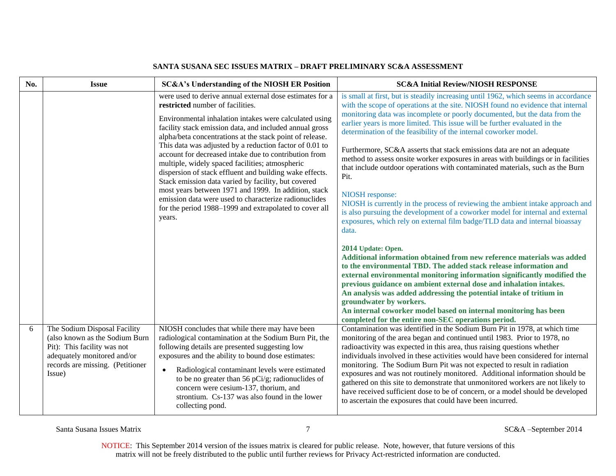| No. | <b>Issue</b>                                                                                                                                                               | <b>SC&amp;A's Understanding of the NIOSH ER Position</b>                                                                                                                                                                                                                                                                                                                                                                                                                                                                                                                                                                                                                                                                                                    | <b>SC&amp;A Initial Review/NIOSH RESPONSE</b>                                                                                                                                                                                                                                                                                                                                                                                                                                                                                                                                                                                                                                                                                                                                                                                                                                                                                                                                                                                                                                                                                                                                                                                                                                                                                                                                                                                               |
|-----|----------------------------------------------------------------------------------------------------------------------------------------------------------------------------|-------------------------------------------------------------------------------------------------------------------------------------------------------------------------------------------------------------------------------------------------------------------------------------------------------------------------------------------------------------------------------------------------------------------------------------------------------------------------------------------------------------------------------------------------------------------------------------------------------------------------------------------------------------------------------------------------------------------------------------------------------------|---------------------------------------------------------------------------------------------------------------------------------------------------------------------------------------------------------------------------------------------------------------------------------------------------------------------------------------------------------------------------------------------------------------------------------------------------------------------------------------------------------------------------------------------------------------------------------------------------------------------------------------------------------------------------------------------------------------------------------------------------------------------------------------------------------------------------------------------------------------------------------------------------------------------------------------------------------------------------------------------------------------------------------------------------------------------------------------------------------------------------------------------------------------------------------------------------------------------------------------------------------------------------------------------------------------------------------------------------------------------------------------------------------------------------------------------|
|     |                                                                                                                                                                            | were used to derive annual external dose estimates for a<br>restricted number of facilities.<br>Environmental inhalation intakes were calculated using<br>facility stack emission data, and included annual gross<br>alpha/beta concentrations at the stack point of release.<br>This data was adjusted by a reduction factor of 0.01 to<br>account for decreased intake due to contribution from<br>multiple, widely spaced facilities; atmospheric<br>dispersion of stack effluent and building wake effects.<br>Stack emission data varied by facility, but covered<br>most years between 1971 and 1999. In addition, stack<br>emission data were used to characterize radionuclides<br>for the period 1988–1999 and extrapolated to cover all<br>years. | is small at first, but is steadily increasing until 1962, which seems in accordance<br>with the scope of operations at the site. NIOSH found no evidence that internal<br>monitoring data was incomplete or poorly documented, but the data from the<br>earlier years is more limited. This issue will be further evaluated in the<br>determination of the feasibility of the internal coworker model.<br>Furthermore, SC&A asserts that stack emissions data are not an adequate<br>method to assess onsite worker exposures in areas with buildings or in facilities<br>that include outdoor operations with contaminated materials, such as the Burn<br>Pit.<br>NIOSH response:<br>NIOSH is currently in the process of reviewing the ambient intake approach and<br>is also pursuing the development of a coworker model for internal and external<br>exposures, which rely on external film badge/TLD data and internal bioassay<br>data.<br>2014 Update: Open.<br>Additional information obtained from new reference materials was added<br>to the environmental TBD. The added stack release information and<br>external environmental monitoring information significantly modified the<br>previous guidance on ambient external dose and inhalation intakes.<br>An analysis was added addressing the potential intake of tritium in<br>groundwater by workers.<br>An internal coworker model based on internal monitoring has been |
| 6   | The Sodium Disposal Facility<br>(also known as the Sodium Burn<br>Pit): This facility was not<br>adequately monitored and/or<br>records are missing. (Petitioner<br>Issue) | NIOSH concludes that while there may have been<br>radiological contamination at the Sodium Burn Pit, the<br>following details are presented suggesting low<br>exposures and the ability to bound dose estimates:<br>Radiological contaminant levels were estimated<br>$\bullet$<br>to be no greater than 56 pCi/g; radionuclides of<br>concern were cesium-137, thorium, and<br>strontium. Cs-137 was also found in the lower<br>collecting pond.                                                                                                                                                                                                                                                                                                           | completed for the entire non-SEC operations period.<br>Contamination was identified in the Sodium Burn Pit in 1978, at which time<br>monitoring of the area began and continued until 1983. Prior to 1978, no<br>radioactivity was expected in this area, thus raising questions whether<br>individuals involved in these activities would have been considered for internal<br>monitoring. The Sodium Burn Pit was not expected to result in radiation<br>exposures and was not routinely monitored. Additional information should be<br>gathered on this site to demonstrate that unmonitored workers are not likely to<br>have received sufficient dose to be of concern, or a model should be developed<br>to ascertain the exposures that could have been incurred.                                                                                                                                                                                                                                                                                                                                                                                                                                                                                                                                                                                                                                                                    |

Santa Susana Issues Matrix 7 SC&A –September 2014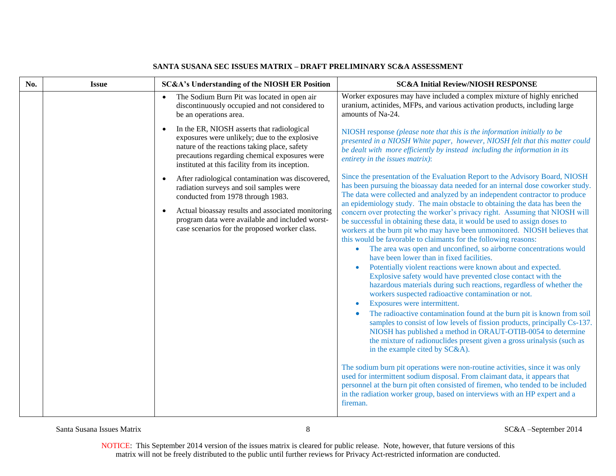| No. | <b>Issue</b> | <b>SC&amp;A's Understanding of the NIOSH ER Position</b>                                                                                                                                                                                                     | <b>SC&amp;A Initial Review/NIOSH RESPONSE</b>                                                                                                                                                                                                                                                                                                                                                                                                                                                                                                                                                                                                                                                                                                                                                                                                                                          |
|-----|--------------|--------------------------------------------------------------------------------------------------------------------------------------------------------------------------------------------------------------------------------------------------------------|----------------------------------------------------------------------------------------------------------------------------------------------------------------------------------------------------------------------------------------------------------------------------------------------------------------------------------------------------------------------------------------------------------------------------------------------------------------------------------------------------------------------------------------------------------------------------------------------------------------------------------------------------------------------------------------------------------------------------------------------------------------------------------------------------------------------------------------------------------------------------------------|
|     |              | The Sodium Burn Pit was located in open air<br>$\bullet$<br>discontinuously occupied and not considered to<br>be an operations area.                                                                                                                         | Worker exposures may have included a complex mixture of highly enriched<br>uranium, actinides, MFPs, and various activation products, including large<br>amounts of Na-24.                                                                                                                                                                                                                                                                                                                                                                                                                                                                                                                                                                                                                                                                                                             |
|     |              | In the ER, NIOSH asserts that radiological<br>$\bullet$<br>exposures were unlikely; due to the explosive<br>nature of the reactions taking place, safety<br>precautions regarding chemical exposures were<br>instituted at this facility from its inception. | NIOSH response (please note that this is the information initially to be<br>presented in a NIOSH White paper, however, NIOSH felt that this matter could<br>be dealt with more efficiently by instead including the information in its<br>entirety in the issues matrix):                                                                                                                                                                                                                                                                                                                                                                                                                                                                                                                                                                                                              |
|     |              | After radiological contamination was discovered,<br>$\bullet$<br>radiation surveys and soil samples were<br>conducted from 1978 through 1983.                                                                                                                | Since the presentation of the Evaluation Report to the Advisory Board, NIOSH<br>has been pursuing the bioassay data needed for an internal dose coworker study.<br>The data were collected and analyzed by an independent contractor to produce                                                                                                                                                                                                                                                                                                                                                                                                                                                                                                                                                                                                                                        |
|     |              | Actual bioassay results and associated monitoring<br>$\bullet$<br>program data were available and included worst-<br>case scenarios for the proposed worker class.                                                                                           | an epidemiology study. The main obstacle to obtaining the data has been the<br>concern over protecting the worker's privacy right. Assuming that NIOSH will<br>be successful in obtaining these data, it would be used to assign doses to<br>workers at the burn pit who may have been unmonitored. NIOSH believes that<br>this would be favorable to claimants for the following reasons:<br>The area was open and unconfined, so airborne concentrations would<br>have been lower than in fixed facilities.<br>Potentially violent reactions were known about and expected.<br>Explosive safety would have prevented close contact with the<br>hazardous materials during such reactions, regardless of whether the<br>workers suspected radioactive contamination or not.<br>Exposures were intermittent.<br>The radioactive contamination found at the burn pit is known from soil |
|     |              |                                                                                                                                                                                                                                                              | samples to consist of low levels of fission products, principally Cs-137.<br>NIOSH has published a method in ORAUT-OTIB-0054 to determine<br>the mixture of radionuclides present given a gross urinalysis (such as<br>in the example cited by SC&A).                                                                                                                                                                                                                                                                                                                                                                                                                                                                                                                                                                                                                                  |
|     |              |                                                                                                                                                                                                                                                              | The sodium burn pit operations were non-routine activities, since it was only<br>used for intermittent sodium disposal. From claimant data, it appears that<br>personnel at the burn pit often consisted of firemen, who tended to be included<br>in the radiation worker group, based on interviews with an HP expert and a<br>fireman.                                                                                                                                                                                                                                                                                                                                                                                                                                                                                                                                               |

Santa Susana Issues Matrix 8 SC&A –September 2014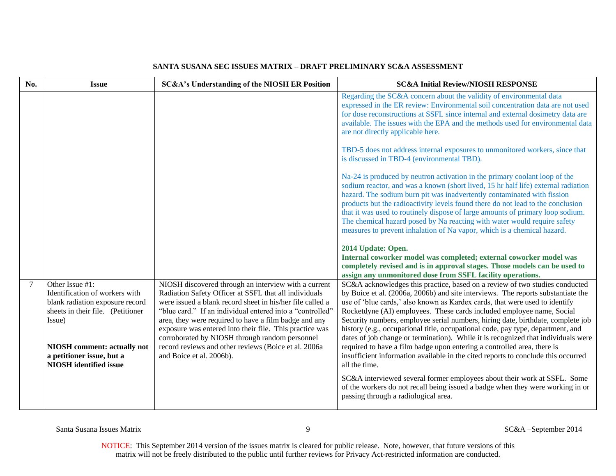| No.            | <b>Issue</b>                                                                                                                                                       | SC&A's Understanding of the NIOSH ER Position                                                                                                                                                                                                                                                                                                                                                                                                                         | <b>SC&amp;A Initial Review/NIOSH RESPONSE</b>                                                                                                                                                                                                                                                                                                                                                                                                                                                                                                                                                                                                                                                                                                                                                                                                                                                                                                                                                                                                                                                                                                                                                                                                    |
|----------------|--------------------------------------------------------------------------------------------------------------------------------------------------------------------|-----------------------------------------------------------------------------------------------------------------------------------------------------------------------------------------------------------------------------------------------------------------------------------------------------------------------------------------------------------------------------------------------------------------------------------------------------------------------|--------------------------------------------------------------------------------------------------------------------------------------------------------------------------------------------------------------------------------------------------------------------------------------------------------------------------------------------------------------------------------------------------------------------------------------------------------------------------------------------------------------------------------------------------------------------------------------------------------------------------------------------------------------------------------------------------------------------------------------------------------------------------------------------------------------------------------------------------------------------------------------------------------------------------------------------------------------------------------------------------------------------------------------------------------------------------------------------------------------------------------------------------------------------------------------------------------------------------------------------------|
|                |                                                                                                                                                                    |                                                                                                                                                                                                                                                                                                                                                                                                                                                                       | Regarding the SC&A concern about the validity of environmental data<br>expressed in the ER review: Environmental soil concentration data are not used<br>for dose reconstructions at SSFL since internal and external dosimetry data are<br>available. The issues with the EPA and the methods used for environmental data<br>are not directly applicable here.<br>TBD-5 does not address internal exposures to unmonitored workers, since that<br>is discussed in TBD-4 (environmental TBD).<br>Na-24 is produced by neutron activation in the primary coolant loop of the<br>sodium reactor, and was a known (short lived, 15 hr half life) external radiation<br>hazard. The sodium burn pit was inadvertently contaminated with fission<br>products but the radioactivity levels found there do not lead to the conclusion<br>that it was used to routinely dispose of large amounts of primary loop sodium.<br>The chemical hazard posed by Na reacting with water would require safety<br>measures to prevent inhalation of Na vapor, which is a chemical hazard.<br>2014 Update: Open.<br>Internal coworker model was completed; external coworker model was<br>completely revised and is in approval stages. Those models can be used to |
|                |                                                                                                                                                                    |                                                                                                                                                                                                                                                                                                                                                                                                                                                                       | assign any unmonitored dose from SSFL facility operations.                                                                                                                                                                                                                                                                                                                                                                                                                                                                                                                                                                                                                                                                                                                                                                                                                                                                                                                                                                                                                                                                                                                                                                                       |
| $\overline{7}$ | Other Issue #1:<br>Identification of workers with<br>blank radiation exposure record<br>sheets in their file. (Petitioner<br>Issue)<br>NIOSH comment: actually not | NIOSH discovered through an interview with a current<br>Radiation Safety Officer at SSFL that all individuals<br>were issued a blank record sheet in his/her file called a<br>"blue card." If an individual entered into a "controlled"<br>area, they were required to have a film badge and any<br>exposure was entered into their file. This practice was<br>corroborated by NIOSH through random personnel<br>record reviews and other reviews (Boice et al. 2006a | SC&A acknowledges this practice, based on a review of two studies conducted<br>by Boice et al. (2006a, 2006b) and site interviews. The reports substantiate the<br>use of 'blue cards,' also known as Kardex cards, that were used to identify<br>Rocketdyne (AI) employees. These cards included employee name, Social<br>Security numbers, employee serial numbers, hiring date, birthdate, complete job<br>history (e.g., occupational title, occupational code, pay type, department, and<br>dates of job change or termination). While it is recognized that individuals were<br>required to have a film badge upon entering a controlled area, there is                                                                                                                                                                                                                                                                                                                                                                                                                                                                                                                                                                                    |
|                | a petitioner issue, but a<br><b>NIOSH</b> identified issue                                                                                                         | and Boice et al. 2006b).                                                                                                                                                                                                                                                                                                                                                                                                                                              | insufficient information available in the cited reports to conclude this occurred<br>all the time.                                                                                                                                                                                                                                                                                                                                                                                                                                                                                                                                                                                                                                                                                                                                                                                                                                                                                                                                                                                                                                                                                                                                               |
|                |                                                                                                                                                                    |                                                                                                                                                                                                                                                                                                                                                                                                                                                                       | SC&A interviewed several former employees about their work at SSFL. Some<br>of the workers do not recall being issued a badge when they were working in or<br>passing through a radiological area.                                                                                                                                                                                                                                                                                                                                                                                                                                                                                                                                                                                                                                                                                                                                                                                                                                                                                                                                                                                                                                               |

Santa Susana Issues Matrix 9 SC&A –September 2014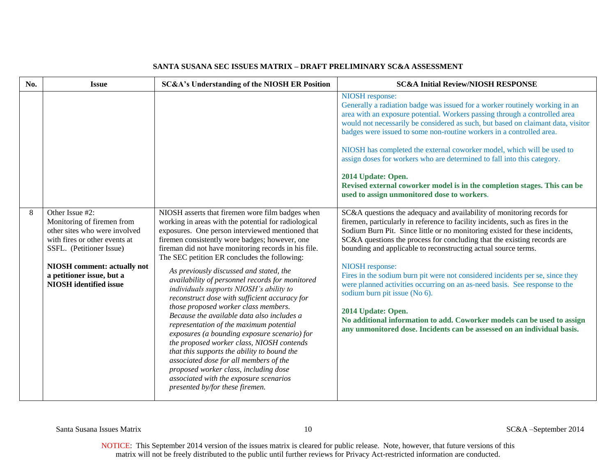#### No. SESSERIFF SC&A's Understanding of the NIOSH ER Position SC&A Initial Review/NIOSH RESPONSE NIOSH response: Generally a radiation badge was issued for a worker routinely working in an area with an exposure potential. Workers passing through a controlled area would not necessarily be considered as such, but based on claimant data, visitor badges were issued to some non-routine workers in a controlled area. NIOSH has completed the external coworker model, which will be used to assign doses for workers who are determined to fall into this category. **2014 Update: Open. Revised external coworker model is in the completion stages. This can be used to assign unmonitored dose to workers**. 8 Other Issue #2: Monitoring of firemen from other sites who were involved with fires or other events at SSFL. (Petitioner Issue) **NIOSH comment: actually not a petitioner issue, but a NIOSH identified issue** NIOSH asserts that firemen wore film badges when working in areas with the potential for radiological exposures. One person interviewed mentioned that firemen consistently wore badges; however, one fireman did not have monitoring records in his file. The SEC petition ER concludes the following: *As previously discussed and stated, the availability of personnel records for monitored individuals supports NIOSH's ability to reconstruct dose with sufficient accuracy for those proposed worker class members. Because the available data also includes a representation of the maximum potential exposures (a bounding exposure scenario) for the proposed worker class, NIOSH contends that this supports the ability to bound the associated dose for all members of the proposed worker class, including dose associated with the exposure scenarios presented by/for these firemen.* SC&A questions the adequacy and availability of monitoring records for firemen, particularly in reference to facility incidents, such as fires in the Sodium Burn Pit. Since little or no monitoring existed for these incidents, SC&A questions the process for concluding that the existing records are bounding and applicable to reconstructing actual source terms. NIOSH response: Fires in the sodium burn pit were not considered incidents per se, since they were planned activities occurring on an as-need basis. See response to the sodium burn pit issue (No 6). **2014 Update: Open. No additional information to add. Coworker models can be used to assign any unmonitored dose. Incidents can be assessed on an individual basis.**

# **SANTA SUSANA SEC ISSUES MATRIX – DRAFT PRELIMINARY SC&A ASSESSMENT**

Santa Susana Issues Matrix 10 SC&A –September 2014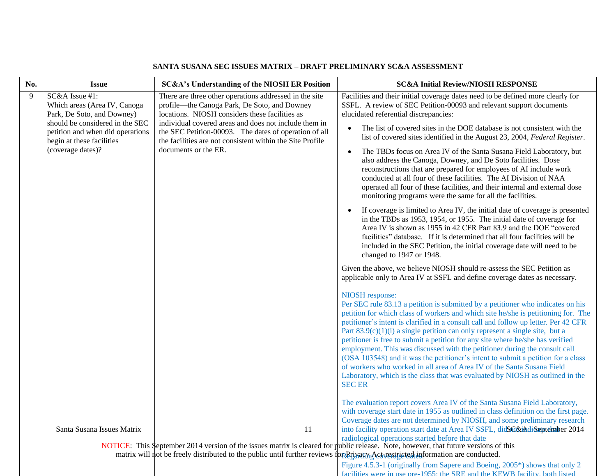| No. | <b>Issue</b>                                                                                                                                                                                          | <b>SC&amp;A's Understanding of the NIOSH ER Position</b>                                                                                                                                                                                                                                                                                                        | <b>SC&amp;A Initial Review/NIOSH RESPONSE</b>                                                                                                                                                                                                                                                                                                                                                                                                                                                                                                                                                                                                                                                                                                                                                                                                                                                                                                                              |
|-----|-------------------------------------------------------------------------------------------------------------------------------------------------------------------------------------------------------|-----------------------------------------------------------------------------------------------------------------------------------------------------------------------------------------------------------------------------------------------------------------------------------------------------------------------------------------------------------------|----------------------------------------------------------------------------------------------------------------------------------------------------------------------------------------------------------------------------------------------------------------------------------------------------------------------------------------------------------------------------------------------------------------------------------------------------------------------------------------------------------------------------------------------------------------------------------------------------------------------------------------------------------------------------------------------------------------------------------------------------------------------------------------------------------------------------------------------------------------------------------------------------------------------------------------------------------------------------|
| 9   | SC&A Issue #1:<br>Which areas (Area IV, Canoga<br>Park, De Soto, and Downey)<br>should be considered in the SEC<br>petition and when did operations<br>begin at these facilities<br>(coverage dates)? | There are three other operations addressed in the site<br>profile—the Canoga Park, De Soto, and Downey<br>locations. NIOSH considers these facilities as<br>individual covered areas and does not include them in<br>the SEC Petition-00093. The dates of operation of all<br>the facilities are not consistent within the Site Profile<br>documents or the ER. | Facilities and their initial coverage dates need to be defined more clearly for<br>SSFL. A review of SEC Petition-00093 and relevant support documents<br>elucidated referential discrepancies:<br>The list of covered sites in the DOE database is not consistent with the<br>$\bullet$<br>list of covered sites identified in the August 23, 2004, Federal Register.<br>The TBDs focus on Area IV of the Santa Susana Field Laboratory, but<br>$\bullet$<br>also address the Canoga, Downey, and De Soto facilities. Dose<br>reconstructions that are prepared for employees of AI include work<br>conducted at all four of these facilities. The AI Division of NAA<br>operated all four of these facilities, and their internal and external dose<br>monitoring programs were the same for all the facilities.<br>If coverage is limited to Area IV, the initial date of coverage is presented<br>in the TBDs as 1953, 1954, or 1955. The initial date of coverage for |
|     |                                                                                                                                                                                                       |                                                                                                                                                                                                                                                                                                                                                                 | Area IV is shown as 1955 in 42 CFR Part 83.9 and the DOE "covered<br>facilities" database. If it is determined that all four facilities will be<br>included in the SEC Petition, the initial coverage date will need to be<br>changed to 1947 or 1948.<br>Given the above, we believe NIOSH should re-assess the SEC Petition as<br>applicable only to Area IV at SSFL and define coverage dates as necessary.                                                                                                                                                                                                                                                                                                                                                                                                                                                                                                                                                             |
|     |                                                                                                                                                                                                       |                                                                                                                                                                                                                                                                                                                                                                 | NIOSH response:<br>Per SEC rule 83.13 a petition is submitted by a petitioner who indicates on his<br>petition for which class of workers and which site he/she is petitioning for. The<br>petitioner's intent is clarified in a consult call and follow up letter. Per 42 CFR<br>Part $83.9(c)(1)(i)$ a single petition can only represent a single site, but a<br>petitioner is free to submit a petition for any site where he/she has verified<br>employment. This was discussed with the petitioner during the consult call<br>(OSA 103548) and it was the petitioner's intent to submit a petition for a class<br>of workers who worked in all area of Area IV of the Santa Susana Field<br>Laboratory, which is the class that was evaluated by NIOSH as outlined in the<br><b>SEC ER</b>                                                                                                                                                                           |
|     | Santa Susana Issues Matrix                                                                                                                                                                            | 11<br>NOTICE: This September 2014 version of the issues matrix is cleared for public release. Note, however, that future versions of this                                                                                                                                                                                                                       | The evaluation report covers Area IV of the Santa Susana Field Laboratory,<br>with coverage start date in 1955 as outlined in class definition on the first page.<br>Coverage dates are not determined by NIOSH, and some preliminary research<br>into facility operation start date at Area IV SSFL, didSC&iAdiSeptember 2014<br>radiological operations started before that date                                                                                                                                                                                                                                                                                                                                                                                                                                                                                                                                                                                         |
|     |                                                                                                                                                                                                       | matrix will not be freely distributed to the public until further reviews for Etimagy Act restricted information are conducted.                                                                                                                                                                                                                                 |                                                                                                                                                                                                                                                                                                                                                                                                                                                                                                                                                                                                                                                                                                                                                                                                                                                                                                                                                                            |
|     |                                                                                                                                                                                                       |                                                                                                                                                                                                                                                                                                                                                                 | Figure $4.5.3.1$ (originally from Sangra and Roging 2005*) shows that only 2                                                                                                                                                                                                                                                                                                                                                                                                                                                                                                                                                                                                                                                                                                                                                                                                                                                                                               |

Figure 4.5.3-1 (originally from Sapere and Boeing, 2005\*) shows that only 2 facilities were in use pre-1955; the SRE and the KEWB facility, both listed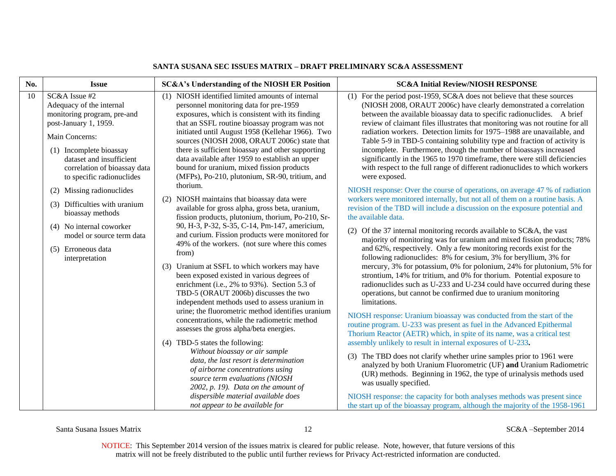| No. | <b>Issue</b>                                                                                                                                                                                                                                                                                                                                                                                                               | <b>SC&amp;A's Understanding of the NIOSH ER Position</b>                                                                                                                                                                                                                                                                                                                                                                                                                                                                                                                                                                                                                                                                                                                                                                                                                                                                                                                                                                                                                                                                                                                                                                                                                                                                                                                                                                                                                                                                                     | <b>SC&amp;A Initial Review/NIOSH RESPONSE</b>                                                                                                                                                                                                                                                                                                                                                                                                                                                                                                                                                                                                                                                                                                                                                                                                                                                                                                                                                                                                                                                                                                                                                                                                                                                                                                                                                                                                                                                                                                                                                                                                                                                                                                                                                                                                                                                                                                                                                                                                                                                                                                                                                                                                                                                         |
|-----|----------------------------------------------------------------------------------------------------------------------------------------------------------------------------------------------------------------------------------------------------------------------------------------------------------------------------------------------------------------------------------------------------------------------------|----------------------------------------------------------------------------------------------------------------------------------------------------------------------------------------------------------------------------------------------------------------------------------------------------------------------------------------------------------------------------------------------------------------------------------------------------------------------------------------------------------------------------------------------------------------------------------------------------------------------------------------------------------------------------------------------------------------------------------------------------------------------------------------------------------------------------------------------------------------------------------------------------------------------------------------------------------------------------------------------------------------------------------------------------------------------------------------------------------------------------------------------------------------------------------------------------------------------------------------------------------------------------------------------------------------------------------------------------------------------------------------------------------------------------------------------------------------------------------------------------------------------------------------------|-------------------------------------------------------------------------------------------------------------------------------------------------------------------------------------------------------------------------------------------------------------------------------------------------------------------------------------------------------------------------------------------------------------------------------------------------------------------------------------------------------------------------------------------------------------------------------------------------------------------------------------------------------------------------------------------------------------------------------------------------------------------------------------------------------------------------------------------------------------------------------------------------------------------------------------------------------------------------------------------------------------------------------------------------------------------------------------------------------------------------------------------------------------------------------------------------------------------------------------------------------------------------------------------------------------------------------------------------------------------------------------------------------------------------------------------------------------------------------------------------------------------------------------------------------------------------------------------------------------------------------------------------------------------------------------------------------------------------------------------------------------------------------------------------------------------------------------------------------------------------------------------------------------------------------------------------------------------------------------------------------------------------------------------------------------------------------------------------------------------------------------------------------------------------------------------------------------------------------------------------------------------------------------------------------|
| 10  | SC&A Issue #2<br>Adequacy of the internal<br>monitoring program, pre-and<br>post-January 1, 1959.<br>Main Concerns:<br>(1) Incomplete bioassay<br>dataset and insufficient<br>correlation of bioassay data<br>to specific radionuclides<br>(2) Missing radionuclides<br>(3) Difficulties with uranium<br>bioassay methods<br>(4) No internal coworker<br>model or source term data<br>(5) Erroneous data<br>interpretation | (1) NIOSH identified limited amounts of internal<br>personnel monitoring data for pre-1959<br>exposures, which is consistent with its finding<br>that an SSFL routine bioassay program was not<br>initiated until August 1958 (Kellehar 1966). Two<br>sources (NIOSH 2008, ORAUT 2006c) state that<br>there is sufficient bioassay and other supporting<br>data available after 1959 to establish an upper<br>bound for uranium, mixed fission products<br>(MFPs), Po-210, plutonium, SR-90, tritium, and<br>thorium.<br>(2) NIOSH maintains that bioassay data were<br>available for gross alpha, gross beta, uranium,<br>fission products, plutonium, thorium, Po-210, Sr-<br>90, H-3, P-32, S-35, C-14, Pm-147, americium,<br>and curium. Fission products were monitored for<br>49% of the workers. (not sure where this comes<br>from)<br>(3) Uranium at SSFL to which workers may have<br>been exposed existed in various degrees of<br>enrichment (i.e., 2% to 93%). Section 5.3 of<br>TBD-5 (ORAUT 2006b) discusses the two<br>independent methods used to assess uranium in<br>urine; the fluorometric method identifies uranium<br>concentrations, while the radiometric method<br>assesses the gross alpha/beta energies.<br>(4) TBD-5 states the following:<br>Without bioassay or air sample<br>data, the last resort is determination<br>of airborne concentrations using<br>source term evaluations (NIOSH<br>$2002$ , p. 19). Data on the amount of<br>dispersible material available does<br>not appear to be available for | (1) For the period post-1959, SC&A does not believe that these sources<br>(NIOSH 2008, ORAUT 2006c) have clearly demonstrated a correlation<br>between the available bioassay data to specific radionuclides. A brief<br>review of claimant files illustrates that monitoring was not routine for all<br>radiation workers. Detection limits for 1975-1988 are unavailable, and<br>Table 5-9 in TBD-5 containing solubility type and fraction of activity is<br>incomplete. Furthermore, though the number of bioassays increased<br>significantly in the 1965 to 1970 timeframe, there were still deficiencies<br>with respect to the full range of different radionuclides to which workers<br>were exposed.<br>NIOSH response: Over the course of operations, on average 47 % of radiation<br>workers were monitored internally, but not all of them on a routine basis. A<br>revision of the TBD will include a discussion on the exposure potential and<br>the available data.<br>(2) Of the 37 internal monitoring records available to SC&A, the vast<br>majority of monitoring was for uranium and mixed fission products; 78%<br>and 62%, respectively. Only a few monitoring records exist for the<br>following radionuclides: 8% for cesium, 3% for beryllium, 3% for<br>mercury, 3% for potassium, 0% for polonium, 24% for plutonium, 5% for<br>strontium, 14% for tritium, and 0% for thorium. Potential exposure to<br>radionuclides such as U-233 and U-234 could have occurred during these<br>operations, but cannot be confirmed due to uranium monitoring<br>limitations.<br>NIOSH response: Uranium bioassay was conducted from the start of the<br>routine program. U-233 was present as fuel in the Advanced Epithermal<br>Thorium Reactor (AETR) which, in spite of its name, was a critical test<br>assembly unlikely to result in internal exposures of U-233.<br>(3) The TBD does not clarify whether urine samples prior to 1961 were<br>analyzed by both Uranium Fluorometric (UF) and Uranium Radiometric<br>(UR) methods. Beginning in 1962, the type of urinalysis methods used<br>was usually specified.<br>NIOSH response: the capacity for both analyses methods was present since<br>the start up of the bioassay program, although the majority of the 1958-1961 |

Santa Susana Issues Matrix 12 SC&A –September 2014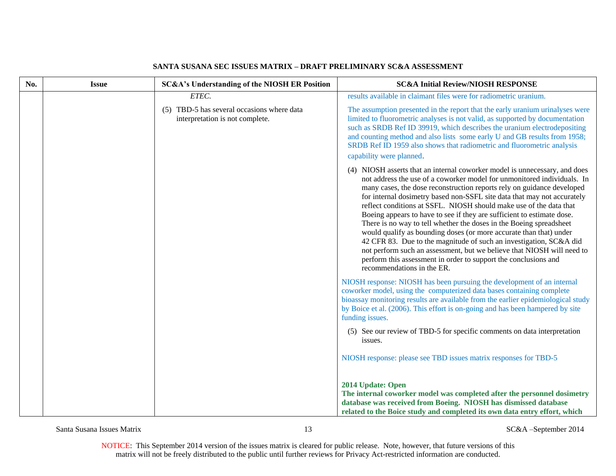| No. | <b>Issue</b> | SC&A's Understanding of the NIOSH ER Position                                 | <b>SC&amp;A Initial Review/NIOSH RESPONSE</b>                                                                                                                                                                                                                                                                                                                                                                                                                                                                                                                                                                                                                                                                                                                                                                                                            |
|-----|--------------|-------------------------------------------------------------------------------|----------------------------------------------------------------------------------------------------------------------------------------------------------------------------------------------------------------------------------------------------------------------------------------------------------------------------------------------------------------------------------------------------------------------------------------------------------------------------------------------------------------------------------------------------------------------------------------------------------------------------------------------------------------------------------------------------------------------------------------------------------------------------------------------------------------------------------------------------------|
|     |              | ETEC.                                                                         | results available in claimant files were for radiometric uranium.                                                                                                                                                                                                                                                                                                                                                                                                                                                                                                                                                                                                                                                                                                                                                                                        |
|     |              | (5) TBD-5 has several occasions where data<br>interpretation is not complete. | The assumption presented in the report that the early uranium urinalyses were<br>limited to fluorometric analyses is not valid, as supported by documentation<br>such as SRDB Ref ID 39919, which describes the uranium electrodepositing<br>and counting method and also lists some early U and GB results from 1958;<br>SRDB Ref ID 1959 also shows that radiometric and fluorometric analysis<br>capability were planned.                                                                                                                                                                                                                                                                                                                                                                                                                             |
|     |              |                                                                               | (4) NIOSH asserts that an internal coworker model is unnecessary, and does<br>not address the use of a coworker model for unmonitored individuals. In<br>many cases, the dose reconstruction reports rely on guidance developed<br>for internal dosimetry based non-SSFL site data that may not accurately<br>reflect conditions at SSFL. NIOSH should make use of the data that<br>Boeing appears to have to see if they are sufficient to estimate dose.<br>There is no way to tell whether the doses in the Boeing spreadsheet<br>would qualify as bounding doses (or more accurate than that) under<br>42 CFR 83. Due to the magnitude of such an investigation, SC&A did<br>not perform such an assessment, but we believe that NIOSH will need to<br>perform this assessment in order to support the conclusions and<br>recommendations in the ER. |
|     |              |                                                                               | NIOSH response: NIOSH has been pursuing the development of an internal<br>coworker model, using the computerized data bases containing complete<br>bioassay monitoring results are available from the earlier epidemiological study<br>by Boice et al. (2006). This effort is on-going and has been hampered by site<br>funding issues.                                                                                                                                                                                                                                                                                                                                                                                                                                                                                                                  |
|     |              |                                                                               | (5) See our review of TBD-5 for specific comments on data interpretation<br>issues.                                                                                                                                                                                                                                                                                                                                                                                                                                                                                                                                                                                                                                                                                                                                                                      |
|     |              |                                                                               | NIOSH response: please see TBD issues matrix responses for TBD-5                                                                                                                                                                                                                                                                                                                                                                                                                                                                                                                                                                                                                                                                                                                                                                                         |
|     |              |                                                                               | 2014 Update: Open<br>The internal coworker model was completed after the personnel dosimetry<br>database was received from Boeing. NIOSH has dismissed database<br>related to the Boice study and completed its own data entry effort, which                                                                                                                                                                                                                                                                                                                                                                                                                                                                                                                                                                                                             |

Santa Susana Issues Matrix 13 SC&A –September 2014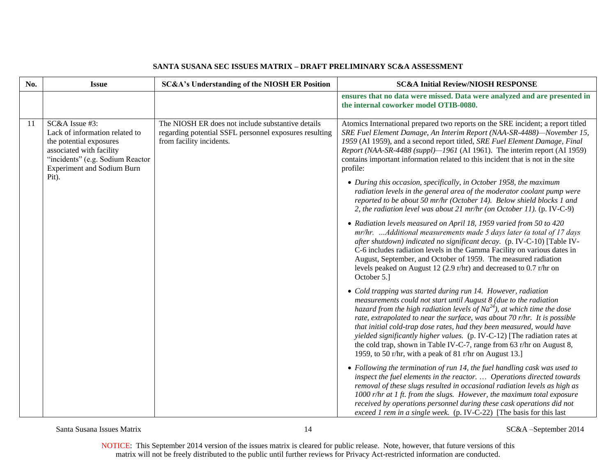| No. | <b>Issue</b>                                                                                                                                                                     | <b>SC&amp;A's Understanding of the NIOSH ER Position</b>                                                                                | <b>SC&amp;A Initial Review/NIOSH RESPONSE</b>                                                                                                                                                                                                                                                                                                                                                                                                                                                                                                                                             |
|-----|----------------------------------------------------------------------------------------------------------------------------------------------------------------------------------|-----------------------------------------------------------------------------------------------------------------------------------------|-------------------------------------------------------------------------------------------------------------------------------------------------------------------------------------------------------------------------------------------------------------------------------------------------------------------------------------------------------------------------------------------------------------------------------------------------------------------------------------------------------------------------------------------------------------------------------------------|
|     |                                                                                                                                                                                  |                                                                                                                                         | ensures that no data were missed. Data were analyzed and are presented in<br>the internal coworker model OTIB-0080.                                                                                                                                                                                                                                                                                                                                                                                                                                                                       |
| 11  | SC&A Issue #3:<br>Lack of information related to<br>the potential exposures<br>associated with facility<br>"incidents" (e.g. Sodium Reactor<br><b>Experiment and Sodium Burn</b> | The NIOSH ER does not include substantive details<br>regarding potential SSFL personnel exposures resulting<br>from facility incidents. | Atomics International prepared two reports on the SRE incident; a report titled<br>SRE Fuel Element Damage, An Interim Report (NAA-SR-4488)-November 15,<br>1959 (AI 1959), and a second report titled, SRE Fuel Element Damage, Final<br>Report (NAA-SR-4488 (suppl)-1961 (AI 1961). The interim report (AI 1959)<br>contains important information related to this incident that is not in the site<br>profile:                                                                                                                                                                         |
|     | Pit).                                                                                                                                                                            |                                                                                                                                         | • During this occasion, specifically, in October 1958, the maximum<br>radiation levels in the general area of the moderator coolant pump were<br>reported to be about 50 mr/hr (October 14). Below shield blocks 1 and<br>2, the radiation level was about 21 mr/hr (on October 11). (p. IV-C-9)                                                                                                                                                                                                                                                                                          |
|     |                                                                                                                                                                                  |                                                                                                                                         | • Radiation levels measured on April 18, 1959 varied from 50 to 420<br>$mr/hr.$ Additional measurements made 5 days later (a total of 17 days<br>after shutdown) indicated no significant decay. (p. IV-C-10) [Table IV-<br>C-6 includes radiation levels in the Gamma Facility on various dates in<br>August, September, and October of 1959. The measured radiation<br>levels peaked on August 12 (2.9 r/hr) and decreased to 0.7 r/hr on<br>October 5.]                                                                                                                                |
|     |                                                                                                                                                                                  |                                                                                                                                         | • Cold trapping was started during run 14. However, radiation<br>measurements could not start until August 8 (due to the radiation<br>hazard from the high radiation levels of $Na^{24}$ ), at which time the dose<br>rate, extrapolated to near the surface, was about 70 r/hr. It is possible<br>that initial cold-trap dose rates, had they been measured, would have<br>yielded significantly higher values. (p. IV-C-12) [The radiation rates at<br>the cold trap, shown in Table IV-C-7, range from 63 r/hr on August 8,<br>1959, to 50 r/hr, with a peak of 81 r/hr on August 13.] |
|     |                                                                                                                                                                                  |                                                                                                                                         | $\bullet$ Following the termination of run 14, the fuel handling cask was used to<br>inspect the fuel elements in the reactor.  Operations directed towards<br>removal of these slugs resulted in occasional radiation levels as high as<br>1000 r/hr at 1 ft. from the slugs. However, the maximum total exposure<br>received by operations personnel during these cask operations did not<br>exceed 1 rem in a single week. (p. IV-C-22) [The basis for this last                                                                                                                       |

Santa Susana Issues Matrix 14 SC&A –September 2014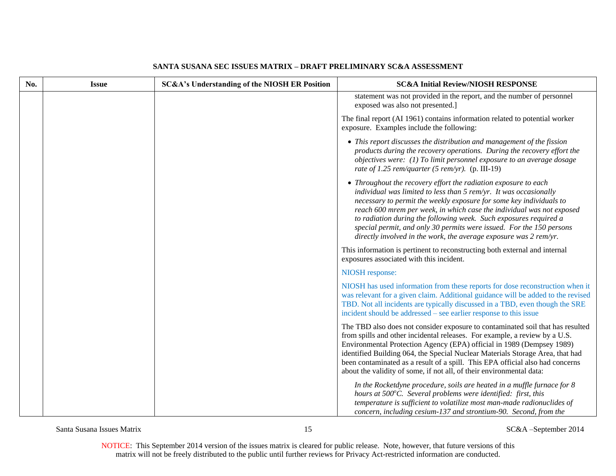| No. | <b>Issue</b> | <b>SC&amp;A's Understanding of the NIOSH ER Position</b> | <b>SC&amp;A Initial Review/NIOSH RESPONSE</b>                                                                                                                                                                                                                                                                                                                                                                                                                                                            |
|-----|--------------|----------------------------------------------------------|----------------------------------------------------------------------------------------------------------------------------------------------------------------------------------------------------------------------------------------------------------------------------------------------------------------------------------------------------------------------------------------------------------------------------------------------------------------------------------------------------------|
|     |              |                                                          | statement was not provided in the report, and the number of personnel<br>exposed was also not presented.]                                                                                                                                                                                                                                                                                                                                                                                                |
|     |              |                                                          | The final report (AI 1961) contains information related to potential worker<br>exposure. Examples include the following:                                                                                                                                                                                                                                                                                                                                                                                 |
|     |              |                                                          | • This report discusses the distribution and management of the fission<br>products during the recovery operations. During the recovery effort the<br>objectives were: (1) To limit personnel exposure to an average dosage<br>rate of 1.25 rem/quarter (5 rem/yr). (p. III-19)                                                                                                                                                                                                                           |
|     |              |                                                          | • Throughout the recovery effort the radiation exposure to each<br>individual was limited to less than $5$ rem/yr. It was occasionally<br>necessary to permit the weekly exposure for some key individuals to<br>reach 600 mrem per week, in which case the individual was not exposed<br>to radiation during the following week. Such exposures required a<br>special permit, and only 30 permits were issued. For the 150 persons<br>directly involved in the work, the average exposure was 2 rem/yr. |
|     |              |                                                          | This information is pertinent to reconstructing both external and internal<br>exposures associated with this incident.                                                                                                                                                                                                                                                                                                                                                                                   |
|     |              |                                                          | NIOSH response:                                                                                                                                                                                                                                                                                                                                                                                                                                                                                          |
|     |              |                                                          | NIOSH has used information from these reports for dose reconstruction when it<br>was relevant for a given claim. Additional guidance will be added to the revised<br>TBD. Not all incidents are typically discussed in a TBD, even though the SRE<br>incident should be addressed – see earlier response to this issue                                                                                                                                                                                   |
|     |              |                                                          | The TBD also does not consider exposure to contaminated soil that has resulted<br>from spills and other incidental releases. For example, a review by a U.S.<br>Environmental Protection Agency (EPA) official in 1989 (Dempsey 1989)<br>identified Building 064, the Special Nuclear Materials Storage Area, that had<br>been contaminated as a result of a spill. This EPA official also had concerns<br>about the validity of some, if not all, of their environmental data:                          |
|     |              |                                                          | In the Rocketdyne procedure, soils are heated in a muffle furnace for 8<br>hours at 500°C. Several problems were identified: first, this<br>temperature is sufficient to volatilize most man-made radionuclides of<br>concern, including cesium-137 and strontium-90. Second, from the                                                                                                                                                                                                                   |

Santa Susana Issues Matrix 15 SC&A –September 2014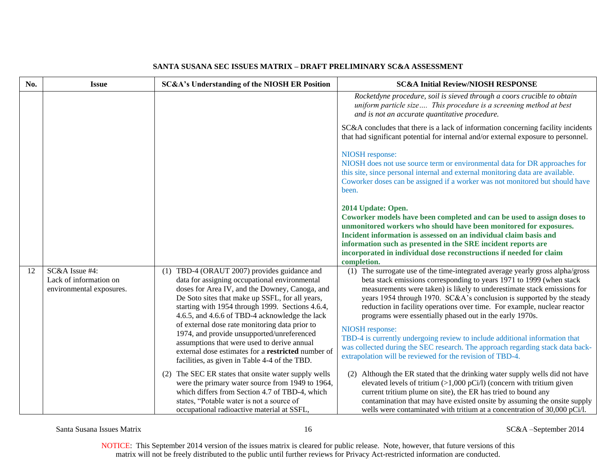| No. | <b>Issue</b>                                                         | <b>SC&amp;A's Understanding of the NIOSH ER Position</b>                                                                                                                                                                                                                                                                                                                                                                                                                                                                                                       | <b>SC&amp;A Initial Review/NIOSH RESPONSE</b>                                                                                                                                                                                                                                                                                                                                                                                                                                                                                                                                                                                                                                                      |
|-----|----------------------------------------------------------------------|----------------------------------------------------------------------------------------------------------------------------------------------------------------------------------------------------------------------------------------------------------------------------------------------------------------------------------------------------------------------------------------------------------------------------------------------------------------------------------------------------------------------------------------------------------------|----------------------------------------------------------------------------------------------------------------------------------------------------------------------------------------------------------------------------------------------------------------------------------------------------------------------------------------------------------------------------------------------------------------------------------------------------------------------------------------------------------------------------------------------------------------------------------------------------------------------------------------------------------------------------------------------------|
|     |                                                                      |                                                                                                                                                                                                                                                                                                                                                                                                                                                                                                                                                                | Rocketdyne procedure, soil is sieved through a coors crucible to obtain<br>uniform particle size This procedure is a screening method at best<br>and is not an accurate quantitative procedure.                                                                                                                                                                                                                                                                                                                                                                                                                                                                                                    |
|     |                                                                      |                                                                                                                                                                                                                                                                                                                                                                                                                                                                                                                                                                | SC&A concludes that there is a lack of information concerning facility incidents<br>that had significant potential for internal and/or external exposure to personnel.                                                                                                                                                                                                                                                                                                                                                                                                                                                                                                                             |
|     |                                                                      |                                                                                                                                                                                                                                                                                                                                                                                                                                                                                                                                                                | NIOSH response:<br>NIOSH does not use source term or environmental data for DR approaches for<br>this site, since personal internal and external monitoring data are available.<br>Coworker doses can be assigned if a worker was not monitored but should have<br>been.                                                                                                                                                                                                                                                                                                                                                                                                                           |
|     |                                                                      |                                                                                                                                                                                                                                                                                                                                                                                                                                                                                                                                                                | 2014 Update: Open.<br>Coworker models have been completed and can be used to assign doses to<br>unmonitored workers who should have been monitored for exposures.<br>Incident information is assessed on an individual claim basis and<br>information such as presented in the SRE incident reports are<br>incorporated in individual dose reconstructions if needed for claim<br>completion.                                                                                                                                                                                                                                                                                                      |
| 12  | SC&A Issue #4:<br>Lack of information on<br>environmental exposures. | (1) TBD-4 (ORAUT 2007) provides guidance and<br>data for assigning occupational environmental<br>doses for Area IV, and the Downey, Canoga, and<br>De Soto sites that make up SSFL, for all years,<br>starting with 1954 through 1999. Sections 4.6.4,<br>4.6.5, and 4.6.6 of TBD-4 acknowledge the lack<br>of external dose rate monitoring data prior to<br>1974, and provide unsupported/unreferenced<br>assumptions that were used to derive annual<br>external dose estimates for a restricted number of<br>facilities, as given in Table 4-4 of the TBD. | (1) The surrogate use of the time-integrated average yearly gross alpha/gross<br>beta stack emissions corresponding to years 1971 to 1999 (when stack<br>measurements were taken) is likely to underestimate stack emissions for<br>years 1954 through 1970. SC&A's conclusion is supported by the steady<br>reduction in facility operations over time. For example, nuclear reactor<br>programs were essentially phased out in the early 1970s.<br>NIOSH response:<br>TBD-4 is currently undergoing review to include additional information that<br>was collected during the SEC research. The approach regarding stack data back-<br>extrapolation will be reviewed for the revision of TBD-4. |
|     |                                                                      | (2) The SEC ER states that onsite water supply wells<br>were the primary water source from 1949 to 1964,<br>which differs from Section 4.7 of TBD-4, which<br>states, "Potable water is not a source of<br>occupational radioactive material at SSFL,                                                                                                                                                                                                                                                                                                          | (2) Although the ER stated that the drinking water supply wells did not have<br>elevated levels of tritium $(>1,000 \text{ pCi/l})$ (concern with tritium given<br>current tritium plume on site), the ER has tried to bound any<br>contamination that may have existed onsite by assuming the onsite supply<br>wells were contaminated with tritium at a concentration of 30,000 pCi/l.                                                                                                                                                                                                                                                                                                           |

Santa Susana Issues Matrix 16 SC&A –September 2014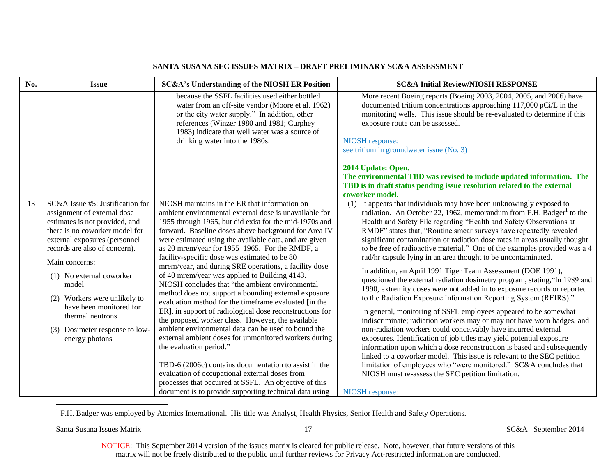| No. | <b>Issue</b>                                                                                                                                                                                                                                                                                                                                                                                       | SC&A's Understanding of the NIOSH ER Position                                                                                                                                                                                                                                                                                                                                                                                                                                                                                                                                                                                                                                                                                                                                                                                                                                                                                                                                                                                                                                                                                                                  | <b>SC&amp;A Initial Review/NIOSH RESPONSE</b>                                                                                                                                                                                                                                                                                                                                                                                                                                                                                                                                                                                                                                                                                                                                                                                                                                                                                                                                                                                                                                                                                                                                                                                                                                                                                                                                                                          |
|-----|----------------------------------------------------------------------------------------------------------------------------------------------------------------------------------------------------------------------------------------------------------------------------------------------------------------------------------------------------------------------------------------------------|----------------------------------------------------------------------------------------------------------------------------------------------------------------------------------------------------------------------------------------------------------------------------------------------------------------------------------------------------------------------------------------------------------------------------------------------------------------------------------------------------------------------------------------------------------------------------------------------------------------------------------------------------------------------------------------------------------------------------------------------------------------------------------------------------------------------------------------------------------------------------------------------------------------------------------------------------------------------------------------------------------------------------------------------------------------------------------------------------------------------------------------------------------------|------------------------------------------------------------------------------------------------------------------------------------------------------------------------------------------------------------------------------------------------------------------------------------------------------------------------------------------------------------------------------------------------------------------------------------------------------------------------------------------------------------------------------------------------------------------------------------------------------------------------------------------------------------------------------------------------------------------------------------------------------------------------------------------------------------------------------------------------------------------------------------------------------------------------------------------------------------------------------------------------------------------------------------------------------------------------------------------------------------------------------------------------------------------------------------------------------------------------------------------------------------------------------------------------------------------------------------------------------------------------------------------------------------------------|
|     |                                                                                                                                                                                                                                                                                                                                                                                                    | because the SSFL facilities used either bottled<br>water from an off-site vendor (Moore et al. 1962)<br>or the city water supply." In addition, other<br>references (Winzer 1980 and 1981; Curphey<br>1983) indicate that well water was a source of<br>drinking water into the 1980s.                                                                                                                                                                                                                                                                                                                                                                                                                                                                                                                                                                                                                                                                                                                                                                                                                                                                         | More recent Boeing reports (Boeing 2003, 2004, 2005, and 2006) have<br>documented tritium concentrations approaching 117,000 pCi/L in the<br>monitoring wells. This issue should be re-evaluated to determine if this<br>exposure route can be assessed.<br><b>NIOSH</b> response:<br>see tritium in groundwater issue (No. 3)                                                                                                                                                                                                                                                                                                                                                                                                                                                                                                                                                                                                                                                                                                                                                                                                                                                                                                                                                                                                                                                                                         |
|     |                                                                                                                                                                                                                                                                                                                                                                                                    |                                                                                                                                                                                                                                                                                                                                                                                                                                                                                                                                                                                                                                                                                                                                                                                                                                                                                                                                                                                                                                                                                                                                                                | 2014 Update: Open.<br>The environmental TBD was revised to include updated information. The<br>TBD is in draft status pending issue resolution related to the external<br>coworker model.                                                                                                                                                                                                                                                                                                                                                                                                                                                                                                                                                                                                                                                                                                                                                                                                                                                                                                                                                                                                                                                                                                                                                                                                                              |
| 13  | SC&A Issue #5: Justification for<br>assignment of external dose<br>estimates is not provided, and<br>there is no coworker model for<br>external exposures (personnel<br>records are also of concern).<br>Main concerns:<br>(1) No external coworker<br>model<br>(2) Workers were unlikely to<br>have been monitored for<br>thermal neutrons<br>Dosimeter response to low-<br>(3)<br>energy photons | NIOSH maintains in the ER that information on<br>ambient environmental external dose is unavailable for<br>1955 through 1965, but did exist for the mid-1970s and<br>forward. Baseline doses above background for Area IV<br>were estimated using the available data, and are given<br>as 20 mrem/year for 1955-1965. For the RMDF, a<br>facility-specific dose was estimated to be 80<br>mrem/year, and during SRE operations, a facility dose<br>of 40 mrem/year was applied to Building 4143.<br>NIOSH concludes that "the ambient environmental<br>method does not support a bounding external exposure<br>evaluation method for the timeframe evaluated [in the<br>ER], in support of radiological dose reconstructions for<br>the proposed worker class. However, the available<br>ambient environmental data can be used to bound the<br>external ambient doses for unmonitored workers during<br>the evaluation period."<br>TBD-6 (2006c) contains documentation to assist in the<br>evaluation of occupational external doses from<br>processes that occurred at SSFL. An objective of this<br>document is to provide supporting technical data using | (1) It appears that individuals may have been unknowingly exposed to<br>radiation. An October 22, 1962, memorandum from F.H. Badger <sup>1</sup> to the<br>Health and Safety File regarding "Health and Safety Observations at<br>RMDF" states that, "Routine smear surveys have repeatedly revealed<br>significant contamination or radiation dose rates in areas usually thought<br>to be free of radioactive material." One of the examples provided was a 4<br>rad/hr capsule lying in an area thought to be uncontaminated.<br>In addition, an April 1991 Tiger Team Assessment (DOE 1991),<br>questioned the external radiation dosimetry program, stating, "In 1989 and<br>1990, extremity doses were not added in to exposure records or reported<br>to the Radiation Exposure Information Reporting System (REIRS)."<br>In general, monitoring of SSFL employees appeared to be somewhat<br>indiscriminate; radiation workers may or may not have worn badges, and<br>non-radiation workers could conceivably have incurred external<br>exposures. Identification of job titles may yield potential exposure<br>information upon which a dose reconstruction is based and subsequently<br>linked to a coworker model. This issue is relevant to the SEC petition<br>limitation of employees who "were monitored." SC&A concludes that<br>NIOSH must re-assess the SEC petition limitation.<br>NIOSH response: |

<sup>1</sup> F.H. Badger was employed by Atomics International. His title was Analyst, Health Physics, Senior Health and Safety Operations.

Santa Susana Issues Matrix 17 SC&A –September 2014

 $\overline{a}$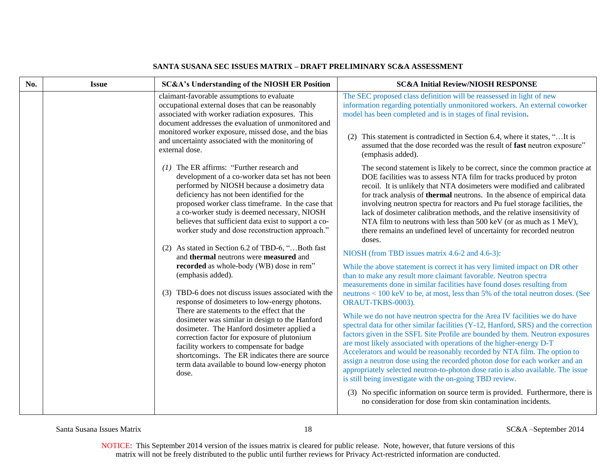| No. | <b>Issue</b> | SC&A's Understanding of the NIOSH ER Position                                                                                                                                                                                                                                                                                                                                                                                                                                                                                                                                                                                                                                                                                                                                                                                                                                                                                                                                                                                                  | <b>SC&amp;A Initial Review/NIOSH RESPONSE</b>                                                                                                                                                                                                                                                                                                                                                                                                                                                                                                                                                                                                                                                                                                                                                                                                                                                                                                                                                                                                                                                                                                                                                                                                                                                                                                                                                                                                                                                                                                                                                                                                                                                                                                                                                                |
|-----|--------------|------------------------------------------------------------------------------------------------------------------------------------------------------------------------------------------------------------------------------------------------------------------------------------------------------------------------------------------------------------------------------------------------------------------------------------------------------------------------------------------------------------------------------------------------------------------------------------------------------------------------------------------------------------------------------------------------------------------------------------------------------------------------------------------------------------------------------------------------------------------------------------------------------------------------------------------------------------------------------------------------------------------------------------------------|--------------------------------------------------------------------------------------------------------------------------------------------------------------------------------------------------------------------------------------------------------------------------------------------------------------------------------------------------------------------------------------------------------------------------------------------------------------------------------------------------------------------------------------------------------------------------------------------------------------------------------------------------------------------------------------------------------------------------------------------------------------------------------------------------------------------------------------------------------------------------------------------------------------------------------------------------------------------------------------------------------------------------------------------------------------------------------------------------------------------------------------------------------------------------------------------------------------------------------------------------------------------------------------------------------------------------------------------------------------------------------------------------------------------------------------------------------------------------------------------------------------------------------------------------------------------------------------------------------------------------------------------------------------------------------------------------------------------------------------------------------------------------------------------------------------|
|     |              | claimant-favorable assumptions to evaluate<br>occupational external doses that can be reasonably<br>associated with worker radiation exposures. This<br>document addresses the evaluation of unmonitored and<br>monitored worker exposure, missed dose, and the bias<br>and uncertainty associated with the monitoring of<br>external dose.                                                                                                                                                                                                                                                                                                                                                                                                                                                                                                                                                                                                                                                                                                    | The SEC proposed class definition will be reassessed in light of new<br>information regarding potentially unmonitored workers. An external coworker<br>model has been completed and is in stages of final revision.<br>This statement is contradicted in Section 6.4, where it states, " It is<br>assumed that the dose recorded was the result of fast neutron exposure"<br>(emphasis added).                                                                                                                                                                                                                                                                                                                                                                                                                                                                                                                                                                                                                                                                                                                                                                                                                                                                                                                                                                                                                                                                                                                                                                                                                                                                                                                                                                                                               |
|     |              | $(1)$ The ER affirms: "Further research and<br>development of a co-worker data set has not been<br>performed by NIOSH because a dosimetry data<br>deficiency has not been identified for the<br>proposed worker class timeframe. In the case that<br>a co-worker study is deemed necessary, NIOSH<br>believes that sufficient data exist to support a co-<br>worker study and dose reconstruction approach."<br>(2) As stated in Section 6.2 of TBD-6, "Both fast<br>and thermal neutrons were measured and<br>recorded as whole-body (WB) dose in rem"<br>(emphasis added).<br>(3) TBD-6 does not discuss issues associated with the<br>response of dosimeters to low-energy photons.<br>There are statements to the effect that the<br>dosimeter was similar in design to the Hanford<br>dosimeter. The Hanford dosimeter applied a<br>correction factor for exposure of plutonium<br>facility workers to compensate for badge<br>shortcomings. The ER indicates there are source<br>term data available to bound low-energy photon<br>dose. | The second statement is likely to be correct, since the common practice at<br>DOE facilities was to assess NTA film for tracks produced by proton<br>recoil. It is unlikely that NTA dosimeters were modified and calibrated<br>for track analysis of thermal neutrons. In the absence of empirical data<br>involving neutron spectra for reactors and Pu fuel storage facilities, the<br>lack of dosimeter calibration methods, and the relative insensitivity of<br>NTA film to neutrons with less than 500 keV (or as much as 1 MeV),<br>there remains an undefined level of uncertainty for recorded neutron<br>doses.<br>NIOSH (from TBD issues matrix 4.6-2 and 4.6-3):<br>While the above statement is correct it has very limited impact on DR other<br>than to make any result more claimant favorable. Neutron spectra<br>measurements done in similar facilities have found doses resulting from<br>neutrons < 100 keV to be, at most, less than 5% of the total neutron doses. (See<br>ORAUT-TKBS-0003).<br>While we do not have neutron spectra for the Area IV facilities we do have<br>spectral data for other similar facilities (Y-12, Hanford, SRS) and the correction<br>factors given in the SSFL Site Profile are bounded by them. Neutron exposures<br>are most likely associated with operations of the higher-energy D-T<br>Accelerators and would be reasonably recorded by NTA film. The option to<br>assign a neutron dose using the recorded photon dose for each worker and an<br>appropriately selected neutron-to-photon dose ratio is also available. The issue<br>is still being investigate with the on-going TBD review.<br>(3) No specific information on source term is provided. Furthermore, there is<br>no consideration for dose from skin contamination incidents. |

Santa Susana Issues Matrix 18 SC&A –September 2014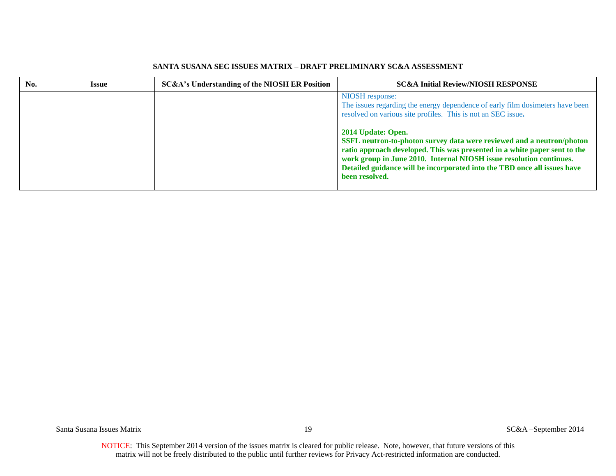| No. | <b>Issue</b> | SC&A's Understanding of the NIOSH ER Position | <b>SC&amp;A Initial Review/NIOSH RESPONSE</b>                                                                                                                                                                                                                                                                           |
|-----|--------------|-----------------------------------------------|-------------------------------------------------------------------------------------------------------------------------------------------------------------------------------------------------------------------------------------------------------------------------------------------------------------------------|
|     |              |                                               | NIOSH response:<br>The issues regarding the energy dependence of early film dosimeters have been<br>resolved on various site profiles. This is not an SEC issue.<br>2014 Update: Open.                                                                                                                                  |
|     |              |                                               | SSFL neutron-to-photon survey data were reviewed and a neutron/photon<br>ratio approach developed. This was presented in a white paper sent to the<br>work group in June 2010. Internal NIOSH issue resolution continues.<br>Detailed guidance will be incorporated into the TBD once all issues have<br>been resolved. |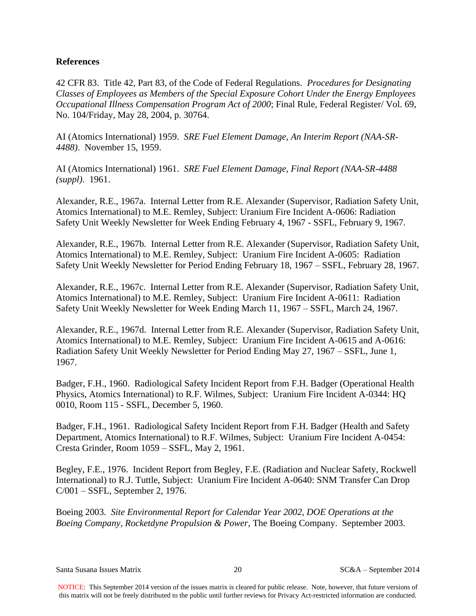# **References**

42 CFR 83. Title 42, Part 83, of the Code of Federal Regulations. *Procedures for Designating Classes of Employees as Members of the Special Exposure Cohort Under the Energy Employees Occupational Illness Compensation Program Act of 2000*; Final Rule, Federal Register/ Vol. 69, No. 104/Friday, May 28, 2004, p. 30764.

AI (Atomics International) 1959. *SRE Fuel Element Damage, An Interim Report (NAA-SR-4488)*. November 15, 1959.

AI (Atomics International) 1961. *SRE Fuel Element Damage, Final Report (NAA-SR-4488 (suppl)*. 1961.

Alexander, R.E., 1967a. Internal Letter from R.E. Alexander (Supervisor, Radiation Safety Unit, Atomics International) to M.E. Remley, Subject: Uranium Fire Incident A-0606: Radiation Safety Unit Weekly Newsletter for Week Ending February 4, 1967 - SSFL, February 9, 1967.

Alexander, R.E., 1967b. Internal Letter from R.E. Alexander (Supervisor, Radiation Safety Unit, Atomics International) to M.E. Remley, Subject: Uranium Fire Incident A-0605: Radiation Safety Unit Weekly Newsletter for Period Ending February 18, 1967 – SSFL, February 28, 1967.

Alexander, R.E., 1967c. Internal Letter from R.E. Alexander (Supervisor, Radiation Safety Unit, Atomics International) to M.E. Remley, Subject: Uranium Fire Incident A-0611: Radiation Safety Unit Weekly Newsletter for Week Ending March 11, 1967 – SSFL, March 24, 1967.

Alexander, R.E., 1967d. Internal Letter from R.E. Alexander (Supervisor, Radiation Safety Unit, Atomics International) to M.E. Remley, Subject: Uranium Fire Incident A-0615 and A-0616: Radiation Safety Unit Weekly Newsletter for Period Ending May 27, 1967 – SSFL, June 1, 1967.

Badger, F.H., 1960. Radiological Safety Incident Report from F.H. Badger (Operational Health Physics, Atomics International) to R.F. Wilmes, Subject: Uranium Fire Incident A-0344: HQ 0010, Room 115 - SSFL, December 5, 1960.

Badger, F.H., 1961. Radiological Safety Incident Report from F.H. Badger (Health and Safety Department, Atomics International) to R.F. Wilmes, Subject: Uranium Fire Incident A-0454: Cresta Grinder, Room 1059 – SSFL, May 2, 1961.

Begley, F.E., 1976. Incident Report from Begley, F.E. (Radiation and Nuclear Safety, Rockwell International) to R.J. Tuttle, Subject: Uranium Fire Incident A-0640: SNM Transfer Can Drop C/001 – SSFL, September 2, 1976.

Boeing 2003. *Site Environmental Report for Calendar Year 2002, DOE Operations at the Boeing Company, Rocketdyne Propulsion & Power*, The Boeing Company. September 2003.

Santa Susana Issues Matrix 20 SC&A – September 2014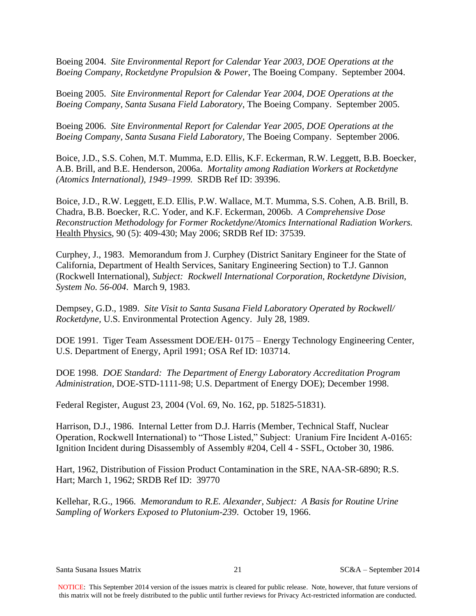Boeing 2004. *Site Environmental Report for Calendar Year 2003, DOE Operations at the Boeing Company, Rocketdyne Propulsion & Power*, The Boeing Company. September 2004.

Boeing 2005. *Site Environmental Report for Calendar Year 2004, DOE Operations at the Boeing Company, Santa Susana Field Laboratory*, The Boeing Company. September 2005.

Boeing 2006. *Site Environmental Report for Calendar Year 2005, DOE Operations at the Boeing Company, Santa Susana Field Laboratory,* The Boeing Company. September 2006.

Boice, J.D., S.S. Cohen, M.T. Mumma, E.D. Ellis, K.F. Eckerman, R.W. Leggett, B.B. Boecker, A.B. Brill, and B.E. Henderson, 2006a. *Mortality among Radiation Workers at Rocketdyne (Atomics International), 1949–1999.* SRDB Ref ID: 39396.

Boice, J.D., R.W. Leggett, E.D. Ellis, P.W. Wallace, M.T. Mumma, S.S. Cohen, A.B. Brill, B. Chadra, B.B. Boecker, R.C. Yoder, and K.F. Eckerman, 2006b. *A Comprehensive Dose Reconstruction Methodology for Former Rocketdyne/Atomics International Radiation Workers.* Health Physics, 90 (5): 409-430; May 2006; SRDB Ref ID: 37539.

Curphey, J., 1983. Memorandum from J. Curphey (District Sanitary Engineer for the State of California, Department of Health Services, Sanitary Engineering Section) to T.J. Gannon (Rockwell International), *Subject: Rockwell International Corporation, Rocketdyne Division, System No. 56-004*. March 9, 1983.

Dempsey, G.D., 1989. *Site Visit to Santa Susana Field Laboratory Operated by Rockwell/ Rocketdyne,* U.S. Environmental Protection Agency. July 28, 1989.

DOE 1991. Tiger Team Assessment DOE/EH- 0175 – Energy Technology Engineering Center, U.S. Department of Energy, April 1991; OSA Ref ID: 103714.

DOE 1998. *DOE Standard: The Department of Energy Laboratory Accreditation Program Administration*, DOE-STD-1111-98; U.S. Department of Energy DOE); December 1998.

Federal Register, August 23, 2004 (Vol. 69, No. 162, pp. 51825-51831).

Harrison, D.J., 1986. Internal Letter from D.J. Harris (Member, Technical Staff, Nuclear Operation, Rockwell International) to "Those Listed," Subject: Uranium Fire Incident A-0165: Ignition Incident during Disassembly of Assembly #204, Cell 4 - SSFL, October 30, 1986.

Hart, 1962, Distribution of Fission Product Contamination in the SRE, NAA-SR-6890; R.S. Hart; March 1, 1962; SRDB Ref ID: 39770

Kellehar, R.G., 1966. *Memorandum to R.E. Alexander, Subject: A Basis for Routine Urine Sampling of Workers Exposed to Plutonium-239*. October 19, 1966.

Santa Susana Issues Matrix 21 21 SC&A – September 2014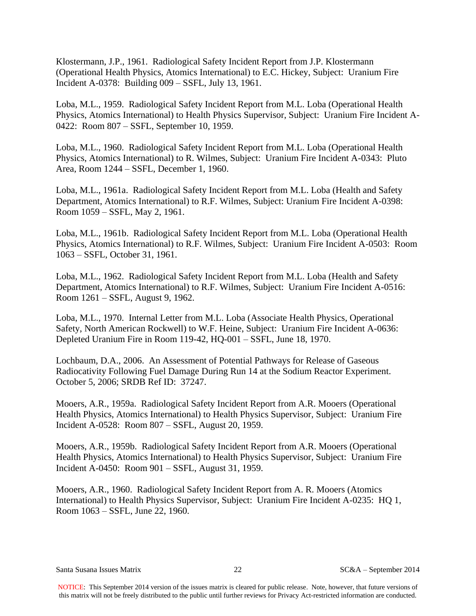Klostermann, J.P., 1961. Radiological Safety Incident Report from J.P. Klostermann (Operational Health Physics, Atomics International) to E.C. Hickey, Subject: Uranium Fire Incident A-0378: Building 009 – SSFL, July 13, 1961.

Loba, M.L., 1959. Radiological Safety Incident Report from M.L. Loba (Operational Health Physics, Atomics International) to Health Physics Supervisor, Subject: Uranium Fire Incident A-0422: Room 807 – SSFL, September 10, 1959.

Loba, M.L., 1960. Radiological Safety Incident Report from M.L. Loba (Operational Health Physics, Atomics International) to R. Wilmes, Subject: Uranium Fire Incident A-0343: Pluto Area, Room 1244 – SSFL, December 1, 1960.

Loba, M.L., 1961a. Radiological Safety Incident Report from M.L. Loba (Health and Safety Department, Atomics International) to R.F. Wilmes, Subject: Uranium Fire Incident A-0398: Room 1059 – SSFL, May 2, 1961.

Loba, M.L., 1961b. Radiological Safety Incident Report from M.L. Loba (Operational Health Physics, Atomics International) to R.F. Wilmes, Subject: Uranium Fire Incident A-0503: Room 1063 – SSFL, October 31, 1961.

Loba, M.L., 1962. Radiological Safety Incident Report from M.L. Loba (Health and Safety Department, Atomics International) to R.F. Wilmes, Subject: Uranium Fire Incident A-0516: Room 1261 – SSFL, August 9, 1962.

Loba, M.L., 1970. Internal Letter from M.L. Loba (Associate Health Physics, Operational Safety, North American Rockwell) to W.F. Heine, Subject: Uranium Fire Incident A-0636: Depleted Uranium Fire in Room 119-42, HQ-001 – SSFL, June 18, 1970.

Lochbaum, D.A., 2006. An Assessment of Potential Pathways for Release of Gaseous Radiocativity Following Fuel Damage During Run 14 at the Sodium Reactor Experiment. October 5, 2006; SRDB Ref ID: 37247.

Mooers, A.R., 1959a. Radiological Safety Incident Report from A.R. Mooers (Operational Health Physics, Atomics International) to Health Physics Supervisor, Subject: Uranium Fire Incident A-0528: Room 807 – SSFL, August 20, 1959.

Mooers, A.R., 1959b. Radiological Safety Incident Report from A.R. Mooers (Operational Health Physics, Atomics International) to Health Physics Supervisor, Subject: Uranium Fire Incident A-0450: Room 901 – SSFL, August 31, 1959.

Mooers, A.R., 1960. Radiological Safety Incident Report from A. R. Mooers (Atomics International) to Health Physics Supervisor, Subject: Uranium Fire Incident A-0235: HQ 1, Room 1063 – SSFL, June 22, 1960.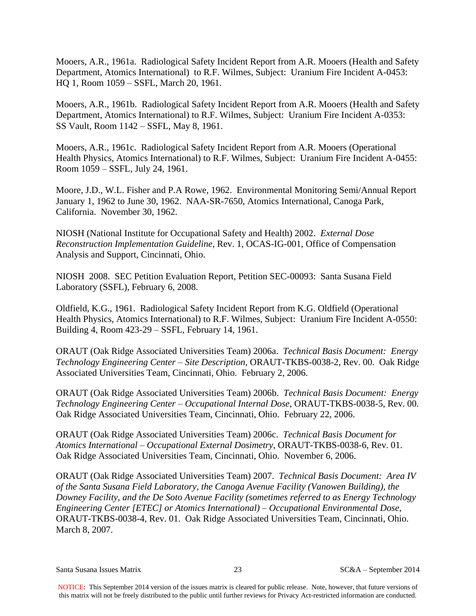Mooers, A.R., 1961a. Radiological Safety Incident Report from A.R. Mooers (Health and Safety Department, Atomics International) to R.F. Wilmes, Subject: Uranium Fire Incident A-0453: HQ 1, Room 1059 – SSFL, March 20, 1961.

Mooers, A.R., 1961b. Radiological Safety Incident Report from A.R. Mooers (Health and Safety Department, Atomics International) to R.F. Wilmes, Subject: Uranium Fire Incident A-0353: SS Vault, Room 1142 – SSFL, May 8, 1961.

Mooers, A.R., 1961c. Radiological Safety Incident Report from A.R. Mooers (Operational Health Physics, Atomics International) to R.F. Wilmes, Subject: Uranium Fire Incident A-0455: Room 1059 – SSFL, July 24, 1961.

Moore, J.D., W.L. Fisher and P.A Rowe, 1962. Environmental Monitoring Semi/Annual Report January 1, 1962 to June 30, 1962. NAA-SR-7650, Atomics International, Canoga Park, California. November 30, 1962.

NIOSH (National Institute for Occupational Safety and Health) 2002. *External Dose Reconstruction Implementation Guideline*, Rev. 1, OCAS-IG-001, Office of Compensation Analysis and Support, Cincinnati, Ohio.

NIOSH 2008. SEC Petition Evaluation Report, Petition SEC-00093: Santa Susana Field Laboratory (SSFL), February 6, 2008.

Oldfield, K.G., 1961. Radiological Safety Incident Report from K.G. Oldfield (Operational Health Physics, Atomics International) to R.F. Wilmes, Subject: Uranium Fire Incident A-0550: Building 4, Room 423-29 – SSFL, February 14, 1961.

ORAUT (Oak Ridge Associated Universities Team) 2006a. *Technical Basis Document: Energy Technology Engineering Center – Site Description*, ORAUT-TKBS-0038-2, Rev. 00. Oak Ridge Associated Universities Team, Cincinnati, Ohio. February 2, 2006.

ORAUT (Oak Ridge Associated Universities Team) 2006b. *Technical Basis Document: Energy Technology Engineering Center – Occupational Internal Dose*, ORAUT-TKBS-0038-5, Rev. 00. Oak Ridge Associated Universities Team, Cincinnati, Ohio. February 22, 2006.

ORAUT (Oak Ridge Associated Universities Team) 2006c. *Technical Basis Document for Atomics International – Occupational External Dosimetry*, ORAUT-TKBS-0038-6, Rev. 01. Oak Ridge Associated Universities Team, Cincinnati, Ohio. November 6, 2006.

ORAUT (Oak Ridge Associated Universities Team) 2007. *Technical Basis Document: Area IV of the Santa Susana Field Laboratory, the Canoga Avenue Facility (Vanowen Building), the Downey Facility, and the De Soto Avenue Facility (sometimes referred to as Energy Technology Engineering Center [ETEC] or Atomics International) – Occupational Environmental Dose*, ORAUT-TKBS-0038-4, Rev. 01.Oak Ridge Associated Universities Team, Cincinnati, Ohio. March 8, 2007.

Santa Susana Issues Matrix 23 SC&A – September 2014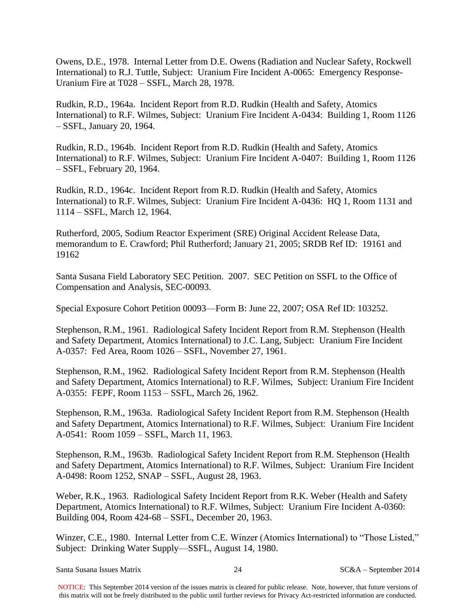Owens, D.E., 1978. Internal Letter from D.E. Owens (Radiation and Nuclear Safety, Rockwell International) to R.J. Tuttle, Subject: Uranium Fire Incident A-0065: Emergency Response-Uranium Fire at T028 – SSFL, March 28, 1978.

Rudkin, R.D., 1964a. Incident Report from R.D. Rudkin (Health and Safety, Atomics International) to R.F. Wilmes, Subject: Uranium Fire Incident A-0434: Building 1, Room 1126 – SSFL, January 20, 1964.

Rudkin, R.D., 1964b. Incident Report from R.D. Rudkin (Health and Safety, Atomics International) to R.F. Wilmes, Subject: Uranium Fire Incident A-0407: Building 1, Room 1126 – SSFL, February 20, 1964.

Rudkin, R.D., 1964c. Incident Report from R.D. Rudkin (Health and Safety, Atomics International) to R.F. Wilmes, Subject: Uranium Fire Incident A-0436: HQ 1, Room 1131 and 1114 – SSFL, March 12, 1964.

Rutherford, 2005, Sodium Reactor Experiment (SRE) Original Accident Release Data, memorandum to E. Crawford; Phil Rutherford; January 21, 2005; SRDB Ref ID: 19161 and 19162

Santa Susana Field Laboratory SEC Petition. 2007. SEC Petition on SSFL to the Office of Compensation and Analysis, SEC-00093.

Special Exposure Cohort Petition 00093—Form B: June 22, 2007; OSA Ref ID: 103252.

Stephenson, R.M., 1961. Radiological Safety Incident Report from R.M. Stephenson (Health and Safety Department, Atomics International) to J.C. Lang, Subject: Uranium Fire Incident A-0357: Fed Area, Room 1026 – SSFL, November 27, 1961.

Stephenson, R.M., 1962. Radiological Safety Incident Report from R.M. Stephenson (Health and Safety Department, Atomics International) to R.F. Wilmes, Subject: Uranium Fire Incident A-0355: FEPF, Room 1153 – SSFL, March 26, 1962.

Stephenson, R.M., 1963a. Radiological Safety Incident Report from R.M. Stephenson (Health and Safety Department, Atomics International) to R.F. Wilmes, Subject: Uranium Fire Incident A-0541: Room 1059 – SSFL, March 11, 1963.

Stephenson, R.M., 1963b. Radiological Safety Incident Report from R.M. Stephenson (Health and Safety Department, Atomics International) to R.F. Wilmes, Subject: Uranium Fire Incident A-0498: Room 1252, SNAP – SSFL, August 28, 1963.

Weber, R.K., 1963. Radiological Safety Incident Report from R.K. Weber (Health and Safety Department, Atomics International) to R.F. Wilmes, Subject: Uranium Fire Incident A-0360: Building 004, Room 424-68 – SSFL, December 20, 1963.

Winzer, C.E., 1980. Internal Letter from C.E. Winzer (Atomics International) to "Those Listed," Subject: Drinking Water Supply—SSFL, August 14, 1980.